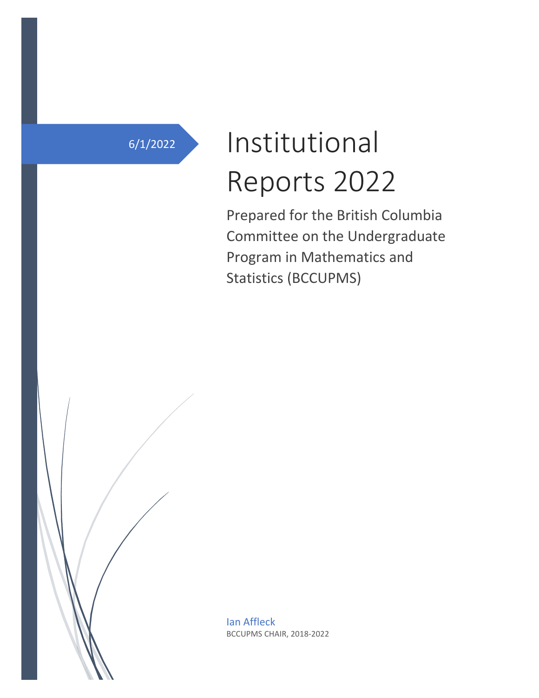# 6/1/2022 Institutional Reports 2022

Prepared for the British Columbia Committee on the Undergraduate Program in Mathematics and Statistics (BCCUPMS)

Ian Affleck BCCUPMS CHAIR, 2018-2022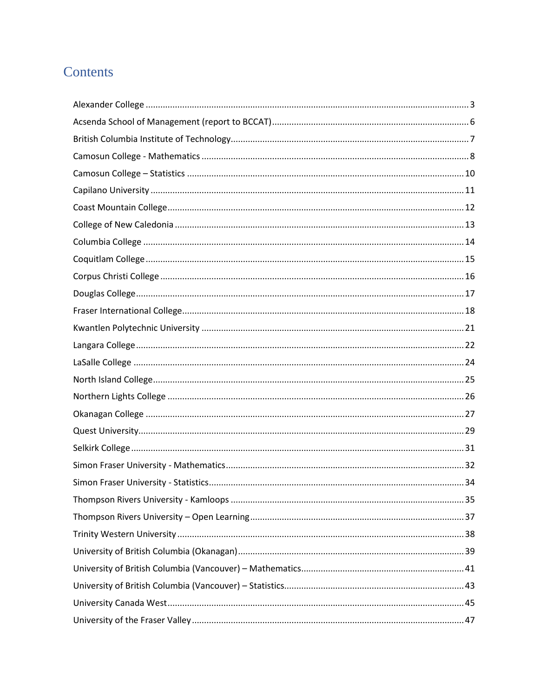# Contents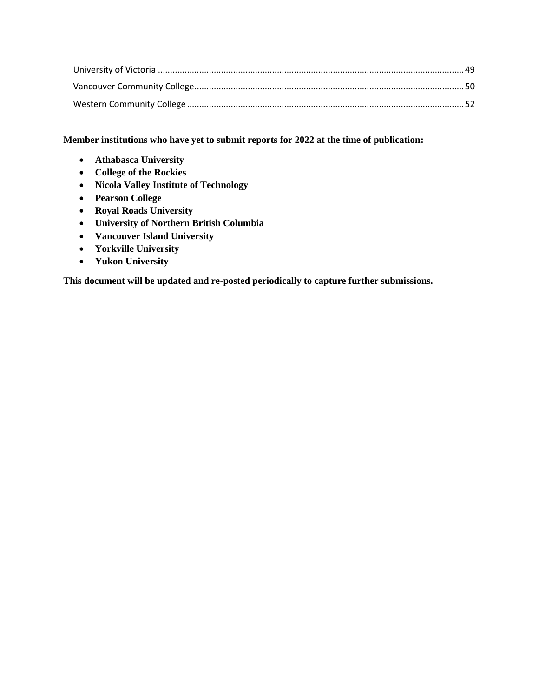## **Member institutions who have yet to submit reports for 2022 at the time of publication:**

- **Athabasca University**
- **College of the Rockies**
- **Nicola Valley Institute of Technology**
- **Pearson College**
- **Royal Roads University**
- **University of Northern British Columbia**
- **Vancouver Island University**
- **Yorkville University**
- **Yukon University**

**This document will be updated and re-posted periodically to capture further submissions.**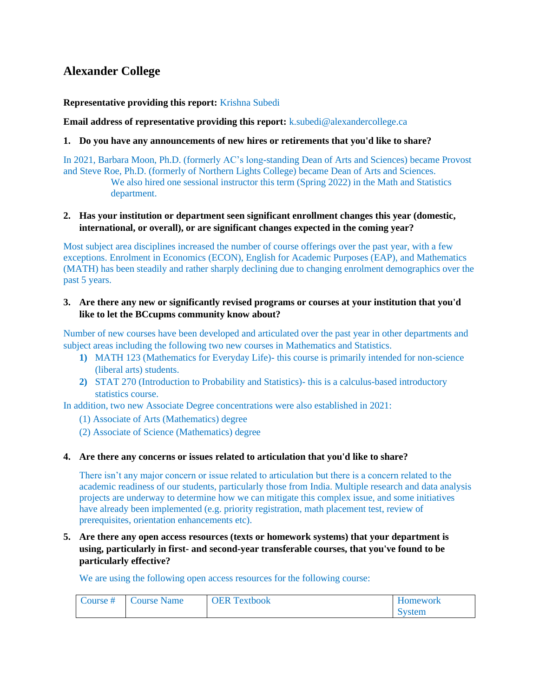# <span id="page-3-0"></span>**Alexander College**

#### **Representative providing this report:** Krishna Subedi

**Email address of representative providing this report:** k.subedi@alexandercollege.ca

#### **1. Do you have any announcements of new hires or retirements that you'd like to share?**

In 2021, Barbara Moon, Ph.D. (formerly AC's long-standing Dean of Arts and Sciences) became Provost and Steve Roe, Ph.D. (formerly of Northern Lights College) became Dean of Arts and Sciences. We also hired one sessional instructor this term (Spring 2022) in the Math and Statistics department.

#### **2. Has your institution or department seen significant enrollment changes this year (domestic, international, or overall), or are significant changes expected in the coming year?**

Most subject area disciplines increased the number of course offerings over the past year, with a few exceptions. Enrolment in Economics (ECON), English for Academic Purposes (EAP), and Mathematics (MATH) has been steadily and rather sharply declining due to changing enrolment demographics over the past 5 years.

## **3. Are there any new or significantly revised programs or courses at your institution that you'd like to let the BCcupms community know about?**

Number of new courses have been developed and articulated over the past year in other departments and subject areas including the following two new courses in Mathematics and Statistics.

- **1)** MATH 123 (Mathematics for Everyday Life)- this course is primarily intended for non-science (liberal arts) students.
- **2)** STAT 270 (Introduction to Probability and Statistics)- this is a calculus-based introductory statistics course.

In addition, two new Associate Degree concentrations were also established in 2021:

- (1) Associate of Arts (Mathematics) degree
- (2) Associate of Science (Mathematics) degree

## **4. Are there any concerns or issues related to articulation that you'd like to share?**

There isn't any major concern or issue related to articulation but there is a concern related to the academic readiness of our students, particularly those from India. Multiple research and data analysis projects are underway to determine how we can mitigate this complex issue, and some initiatives have already been implemented (e.g. priority registration, math placement test, review of prerequisites, orientation enhancements etc).

**5. Are there any open access resources (texts or homework systems) that your department is using, particularly in first- and second-year transferable courses, that you've found to be particularly effective?**

We are using the following open access resources for the following course:

| Course # | Course Name | <b>OER Textbook</b> | <b>Homework</b> |
|----------|-------------|---------------------|-----------------|
|          |             |                     | System          |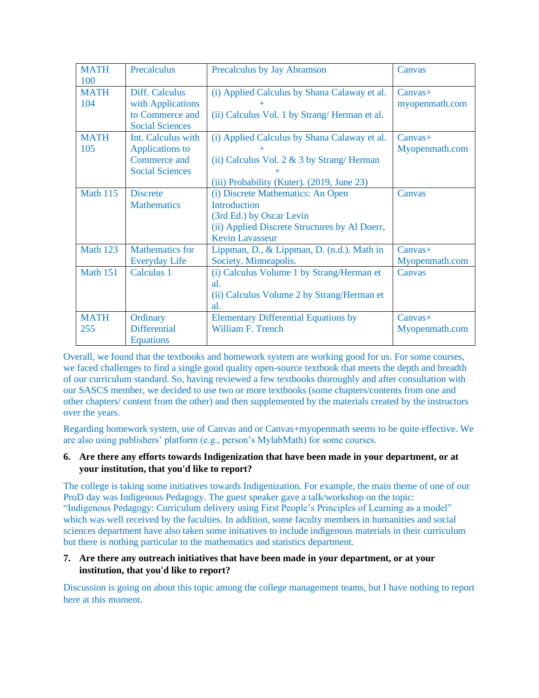| <b>MATH</b><br>100 | Precalculus                                                                            | Precalculus by Jay Abramson                                                                                                                                     | Canvas                      |
|--------------------|----------------------------------------------------------------------------------------|-----------------------------------------------------------------------------------------------------------------------------------------------------------------|-----------------------------|
| <b>MATH</b><br>104 | Diff. Calculus<br>with Applications<br>to Commerce and<br><b>Social Sciences</b>       | (i) Applied Calculus by Shana Calaway et al.<br>(ii) Calculus Vol. 1 by Strang/Herman et al.                                                                    | $Canvas+$<br>myopenmath.com |
| <b>MATH</b><br>105 | Int. Calculus with<br><b>Applications to</b><br>Commerce and<br><b>Social Sciences</b> | (i) Applied Calculus by Shana Calaway et al.<br>(ii) Calculus Vol. $2 \& 3$ by Strang/Herman<br>(iii) Probability (Kuter). (2019, June 23)                      | $Canvas+$<br>Myopenmath.com |
| <b>Math 115</b>    | <b>Discrete</b><br><b>Mathematics</b>                                                  | (i) Discrete Mathematics: An Open<br><b>Introduction</b><br>(3rd Ed.) by Oscar Levin<br>(ii) Applied Discrete Structures by Al Doerr,<br><b>Kevin Lavasseur</b> | Canvas                      |
| <b>Math 123</b>    | <b>Mathematics for</b><br><b>Everyday Life</b>                                         | Lippman, D., & Lippman, D. (n.d.). Math in<br>Society. Minneapolis.                                                                                             | $Canvas+$<br>Myopenmath.com |
| <b>Math 151</b>    | Calculus 1                                                                             | (i) Calculus Volume 1 by Strang/Herman et<br>al.<br>(ii) Calculus Volume 2 by Strang/Herman et<br>al.                                                           | Canvas                      |
| <b>MATH</b><br>255 | Ordinary<br><b>Differential</b><br><b>Equations</b>                                    | <b>Elementary Differential Equations by</b><br>William F. Trench                                                                                                | $Canvas+$<br>Myopenmath.com |

Overall, we found that the textbooks and homework system are working good for us. For some courses, we faced challenges to find a single good quality open-source textbook that meets the depth and breadth of our curriculum standard. So, having reviewed a few textbooks thoroughly and after consultation with our SASCS member, we decided to use two or more textbooks (some chapters/contents from one and other chapters/ content from the other) and then supplemented by the materials created by the instructors over the years.

Regarding homework system, use of Canvas and or Canvas+myopenmath seems to be quite effective. We are also using publishers' platform (e.g., person's MylabMath) for some courses.

#### **6. Are there any efforts towards Indigenization that have been made in your department, or at your institution, that you'd like to report?**

The college is taking some initiatives towards Indigenization. For example, the main theme of one of our ProD day was Indigenous Pedagogy. The guest speaker gave a talk/workshop on the topic: "Indigenous Pedagogy: Curriculum delivery using First People's Principles of Learning as a model" which was well received by the faculties. In addition, some faculty members in humanities and social sciences department have also taken some initiatives to include indigenous materials in their curriculum but there is nothing particular to the mathematics and statistics department.

#### **7. Are there any outreach initiatives that have been made in your department, or at your institution, that you'd like to report?**

Discussion is going on about this topic among the college management teams, but I have nothing to report here at this moment.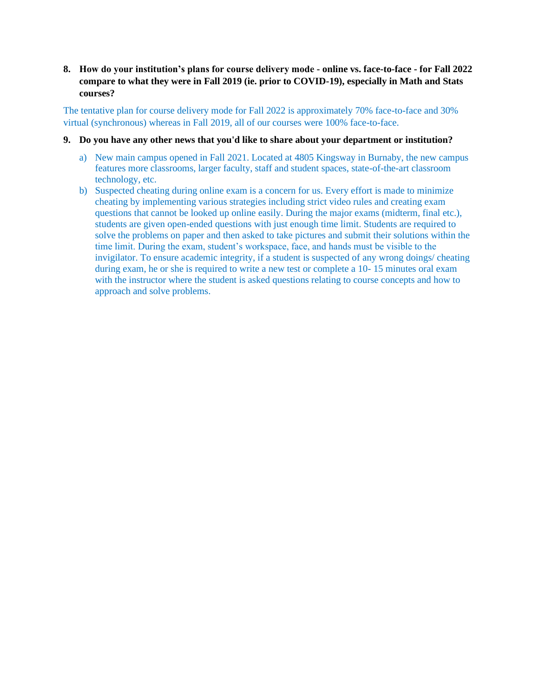**8. How do your institution's plans for course delivery mode - online vs. face-to-face - for Fall 2022 compare to what they were in Fall 2019 (ie. prior to COVID-19), especially in Math and Stats courses?**

The tentative plan for course delivery mode for Fall 2022 is approximately 70% face-to-face and 30% virtual (synchronous) whereas in Fall 2019, all of our courses were 100% face-to-face.

- **9. Do you have any other news that you'd like to share about your department or institution?**
	- a) New main campus opened in Fall 2021. Located at 4805 Kingsway in Burnaby, the new campus features more classrooms, larger faculty, staff and student spaces, state-of-the-art classroom technology, etc.
	- b) Suspected cheating during online exam is a concern for us. Every effort is made to minimize cheating by implementing various strategies including strict video rules and creating exam questions that cannot be looked up online easily. During the major exams (midterm, final etc.), students are given open-ended questions with just enough time limit. Students are required to solve the problems on paper and then asked to take pictures and submit their solutions within the time limit. During the exam, student's workspace, face, and hands must be visible to the invigilator. To ensure academic integrity, if a student is suspected of any wrong doings/ cheating during exam, he or she is required to write a new test or complete a 10- 15 minutes oral exam with the instructor where the student is asked questions relating to course concepts and how to approach and solve problems.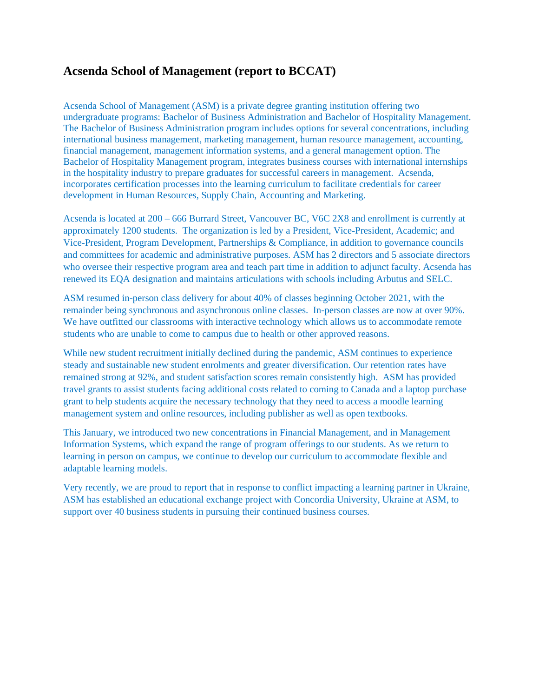# <span id="page-6-0"></span>**Acsenda School of Management (report to BCCAT)**

Acsenda School of Management (ASM) is a private degree granting institution offering two undergraduate programs: Bachelor of Business Administration and Bachelor of Hospitality Management. The Bachelor of Business Administration program includes options for several concentrations, including international business management, marketing management, human resource management, accounting, financial management, management information systems, and a general management option. The Bachelor of Hospitality Management program, integrates business courses with international internships in the hospitality industry to prepare graduates for successful careers in management. Acsenda, incorporates certification processes into the learning curriculum to facilitate credentials for career development in Human Resources, Supply Chain, Accounting and Marketing.

Acsenda is located at 200 – 666 Burrard Street, Vancouver BC, V6C 2X8 and enrollment is currently at approximately 1200 students. The organization is led by a President, Vice-President, Academic; and Vice-President, Program Development, Partnerships & Compliance, in addition to governance councils and committees for academic and administrative purposes. ASM has 2 directors and 5 associate directors who oversee their respective program area and teach part time in addition to adjunct faculty. Acsenda has renewed its EQA designation and maintains articulations with schools including Arbutus and SELC.

ASM resumed in-person class delivery for about 40% of classes beginning October 2021, with the remainder being synchronous and asynchronous online classes. In-person classes are now at over 90%. We have outfitted our classrooms with interactive technology which allows us to accommodate remote students who are unable to come to campus due to health or other approved reasons.

While new student recruitment initially declined during the pandemic, ASM continues to experience steady and sustainable new student enrolments and greater diversification. Our retention rates have remained strong at 92%, and student satisfaction scores remain consistently high. ASM has provided travel grants to assist students facing additional costs related to coming to Canada and a laptop purchase grant to help students acquire the necessary technology that they need to access a moodle learning management system and online resources, including publisher as well as open textbooks.

This January, we introduced two new concentrations in Financial Management, and in Management Information Systems, which expand the range of program offerings to our students. As we return to learning in person on campus, we continue to develop our curriculum to accommodate flexible and adaptable learning models.

Very recently, we are proud to report that in response to conflict impacting a learning partner in Ukraine, ASM has established an educational exchange project with Concordia University, Ukraine at ASM, to support over 40 business students in pursuing their continued business courses.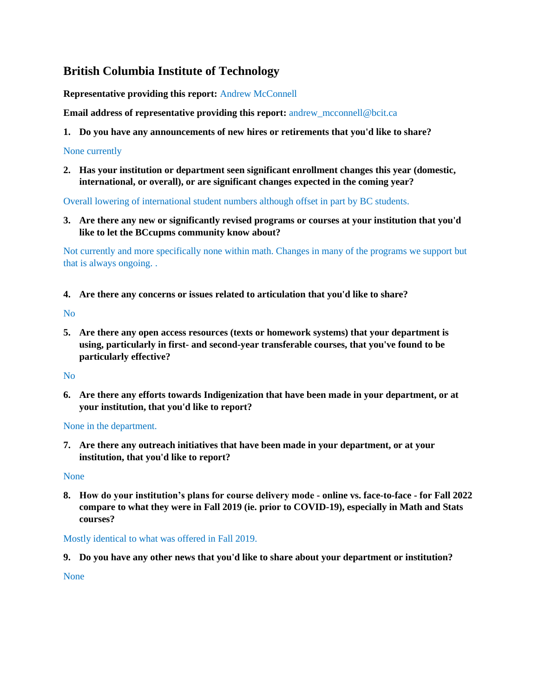# <span id="page-7-0"></span>**British Columbia Institute of Technology**

**Representative providing this report:** Andrew McConnell

**Email address of representative providing this report:** andrew mcconnell@bcit.ca

**1. Do you have any announcements of new hires or retirements that you'd like to share?**

## None currently

**2. Has your institution or department seen significant enrollment changes this year (domestic, international, or overall), or are significant changes expected in the coming year?**

Overall lowering of international student numbers although offset in part by BC students.

**3. Are there any new or significantly revised programs or courses at your institution that you'd like to let the BCcupms community know about?**

Not currently and more specifically none within math. Changes in many of the programs we support but that is always ongoing. .

**4. Are there any concerns or issues related to articulation that you'd like to share?**

No

**5. Are there any open access resources (texts or homework systems) that your department is using, particularly in first- and second-year transferable courses, that you've found to be particularly effective?**

No

**6. Are there any efforts towards Indigenization that have been made in your department, or at your institution, that you'd like to report?**

## None in the department.

**7. Are there any outreach initiatives that have been made in your department, or at your institution, that you'd like to report?**

#### None

**8. How do your institution's plans for course delivery mode - online vs. face-to-face - for Fall 2022 compare to what they were in Fall 2019 (ie. prior to COVID-19), especially in Math and Stats courses?**

## Mostly identical to what was offered in Fall 2019.

**9. Do you have any other news that you'd like to share about your department or institution?**

None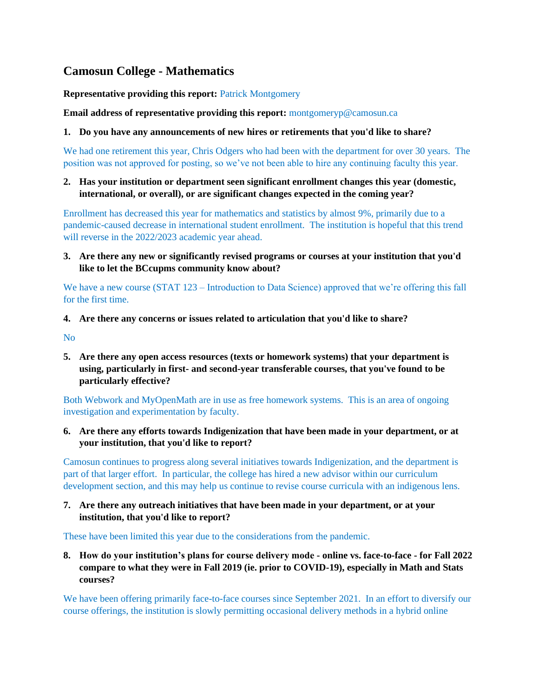# <span id="page-8-0"></span>**Camosun College - Mathematics**

**Representative providing this report:** Patrick Montgomery

**Email address of representative providing this report:** montgomeryp@camosun.ca

#### **1. Do you have any announcements of new hires or retirements that you'd like to share?**

We had one retirement this year, Chris Odgers who had been with the department for over 30 years. The position was not approved for posting, so we've not been able to hire any continuing faculty this year.

## **2. Has your institution or department seen significant enrollment changes this year (domestic, international, or overall), or are significant changes expected in the coming year?**

Enrollment has decreased this year for mathematics and statistics by almost 9%, primarily due to a pandemic-caused decrease in international student enrollment. The institution is hopeful that this trend will reverse in the 2022/2023 academic year ahead.

**3. Are there any new or significantly revised programs or courses at your institution that you'd like to let the BCcupms community know about?**

We have a new course (STAT 123 – Introduction to Data Science) approved that we're offering this fall for the first time.

#### **4. Are there any concerns or issues related to articulation that you'd like to share?**

No

**5. Are there any open access resources (texts or homework systems) that your department is using, particularly in first- and second-year transferable courses, that you've found to be particularly effective?**

Both Webwork and MyOpenMath are in use as free homework systems. This is an area of ongoing investigation and experimentation by faculty.

**6. Are there any efforts towards Indigenization that have been made in your department, or at your institution, that you'd like to report?**

Camosun continues to progress along several initiatives towards Indigenization, and the department is part of that larger effort. In particular, the college has hired a new advisor within our curriculum development section, and this may help us continue to revise course curricula with an indigenous lens.

**7. Are there any outreach initiatives that have been made in your department, or at your institution, that you'd like to report?**

These have been limited this year due to the considerations from the pandemic.

**8. How do your institution's plans for course delivery mode - online vs. face-to-face - for Fall 2022 compare to what they were in Fall 2019 (ie. prior to COVID-19), especially in Math and Stats courses?**

We have been offering primarily face-to-face courses since September 2021. In an effort to diversify our course offerings, the institution is slowly permitting occasional delivery methods in a hybrid online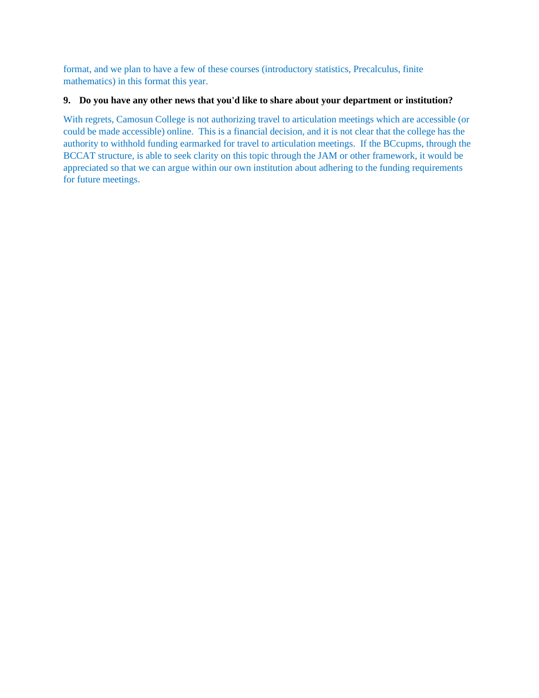format, and we plan to have a few of these courses (introductory statistics, Precalculus, finite mathematics) in this format this year.

#### **9. Do you have any other news that you'd like to share about your department or institution?**

With regrets, Camosun College is not authorizing travel to articulation meetings which are accessible (or could be made accessible) online. This is a financial decision, and it is not clear that the college has the authority to withhold funding earmarked for travel to articulation meetings. If the BCcupms, through the BCCAT structure, is able to seek clarity on this topic through the JAM or other framework, it would be appreciated so that we can argue within our own institution about adhering to the funding requirements for future meetings.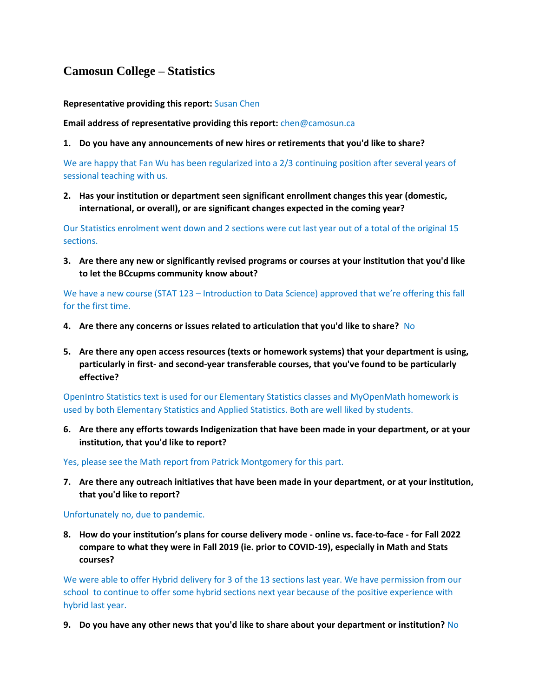# <span id="page-10-0"></span>**Camosun College – Statistics**

**Representative providing this report:** Susan Chen

**Email address of representative providing this report:** chen@camosun.ca

**1. Do you have any announcements of new hires or retirements that you'd like to share?**

We are happy that Fan Wu has been regularized into a 2/3 continuing position after several years of sessional teaching with us.

**2. Has your institution or department seen significant enrollment changes this year (domestic, international, or overall), or are significant changes expected in the coming year?**

Our Statistics enrolment went down and 2 sections were cut last year out of a total of the original 15 sections.

**3. Are there any new or significantly revised programs or courses at your institution that you'd like to let the BCcupms community know about?**

We have a new course (STAT 123 – Introduction to Data Science) approved that we're offering this fall for the first time.

- **4. Are there any concerns or issues related to articulation that you'd like to share?** No
- **5. Are there any open access resources (texts or homework systems) that your department is using, particularly in first- and second-year transferable courses, that you've found to be particularly effective?**

OpenIntro Statistics text is used for our Elementary Statistics classes and MyOpenMath homework is used by both Elementary Statistics and Applied Statistics. Both are well liked by students.

**6. Are there any efforts towards Indigenization that have been made in your department, or at your institution, that you'd like to report?**

Yes, please see the Math report from Patrick Montgomery for this part.

**7. Are there any outreach initiatives that have been made in your department, or at your institution, that you'd like to report?**

Unfortunately no, due to pandemic.

**8. How do your institution's plans for course delivery mode - online vs. face-to-face - for Fall 2022 compare to what they were in Fall 2019 (ie. prior to COVID-19), especially in Math and Stats courses?**

We were able to offer Hybrid delivery for 3 of the 13 sections last year. We have permission from our school to continue to offer some hybrid sections next year because of the positive experience with hybrid last year.

**9. Do you have any other news that you'd like to share about your department or institution?** No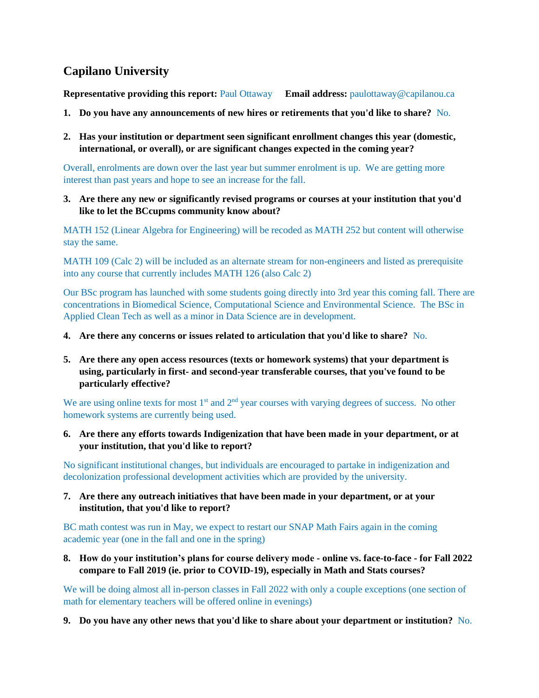# <span id="page-11-0"></span>**Capilano University**

**Representative providing this report:** Paul Ottaway **Email address:** paulottaway@capilanou.ca

- **1. Do you have any announcements of new hires or retirements that you'd like to share?** No.
- **2. Has your institution or department seen significant enrollment changes this year (domestic, international, or overall), or are significant changes expected in the coming year?**

Overall, enrolments are down over the last year but summer enrolment is up. We are getting more interest than past years and hope to see an increase for the fall.

**3. Are there any new or significantly revised programs or courses at your institution that you'd like to let the BCcupms community know about?**

MATH 152 (Linear Algebra for Engineering) will be recoded as MATH 252 but content will otherwise stay the same.

MATH 109 (Calc 2) will be included as an alternate stream for non-engineers and listed as prerequisite into any course that currently includes MATH 126 (also Calc 2)

Our BSc program has launched with some students going directly into 3rd year this coming fall. There are concentrations in Biomedical Science, Computational Science and Environmental Science. The BSc in Applied Clean Tech as well as a minor in Data Science are in development.

- **4. Are there any concerns or issues related to articulation that you'd like to share?** No.
- **5. Are there any open access resources (texts or homework systems) that your department is using, particularly in first- and second-year transferable courses, that you've found to be particularly effective?**

We are using online texts for most 1<sup>st</sup> and 2<sup>nd</sup> year courses with varying degrees of success. No other homework systems are currently being used.

**6. Are there any efforts towards Indigenization that have been made in your department, or at your institution, that you'd like to report?**

No significant institutional changes, but individuals are encouraged to partake in indigenization and decolonization professional development activities which are provided by the university.

**7. Are there any outreach initiatives that have been made in your department, or at your institution, that you'd like to report?**

BC math contest was run in May, we expect to restart our SNAP Math Fairs again in the coming academic year (one in the fall and one in the spring)

**8. How do your institution's plans for course delivery mode - online vs. face-to-face - for Fall 2022 compare to Fall 2019 (ie. prior to COVID-19), especially in Math and Stats courses?**

We will be doing almost all in-person classes in Fall 2022 with only a couple exceptions (one section of math for elementary teachers will be offered online in evenings)

**9. Do you have any other news that you'd like to share about your department or institution?** No.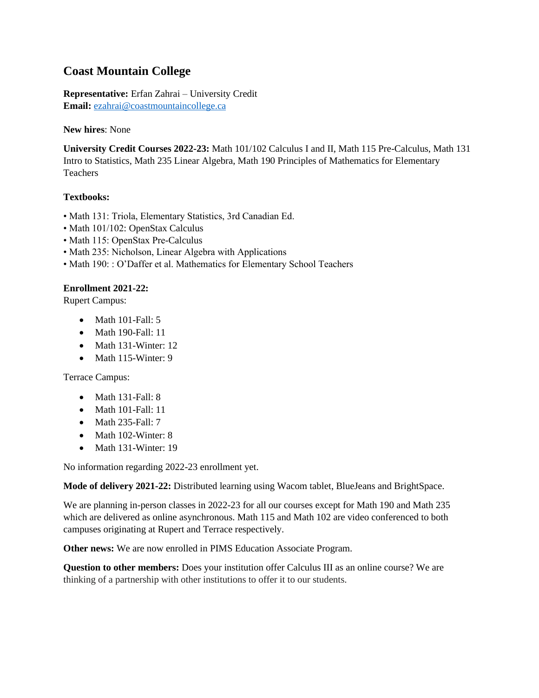# <span id="page-12-0"></span>**Coast Mountain College**

**Representative:** Erfan Zahrai – University Credit **Email:** [ezahrai@coastmountaincollege.ca](mailto:ezahrai@coastmountaincollege.ca)

#### **New hires**: None

**University Credit Courses 2022-23:** Math 101/102 Calculus I and II, Math 115 Pre-Calculus, Math 131 Intro to Statistics, Math 235 Linear Algebra, Math 190 Principles of Mathematics for Elementary Teachers

## **Textbooks:**

- Math 131: Triola, Elementary Statistics, 3rd Canadian Ed.
- Math 101/102: OpenStax Calculus
- Math 115: OpenStax Pre-Calculus
- Math 235: Nicholson, Linear Algebra with Applications
- Math 190: : O'Daffer et al. Mathematics for Elementary School Teachers

#### **Enrollment 2021-22:**

Rupert Campus:

- Math 101-Fall: 5
- Math 190-Fall: 11
- Math 131-Winter: 12
- Math 115-Winter: 9

Terrace Campus:

- Math 131-Fall: 8
- Math 101-Fall: 11
- Math 235-Fall: 7
- Math 102-Winter: 8
- Math 131-Winter: 19

No information regarding 2022-23 enrollment yet.

**Mode of delivery 2021-22:** Distributed learning using Wacom tablet, BlueJeans and BrightSpace.

We are planning in-person classes in 2022-23 for all our courses except for Math 190 and Math 235 which are delivered as online asynchronous. Math 115 and Math 102 are video conferenced to both campuses originating at Rupert and Terrace respectively.

**Other news:** We are now enrolled in PIMS Education Associate Program.

**Question to other members:** Does your institution offer Calculus III as an online course? We are thinking of a partnership with other institutions to offer it to our students.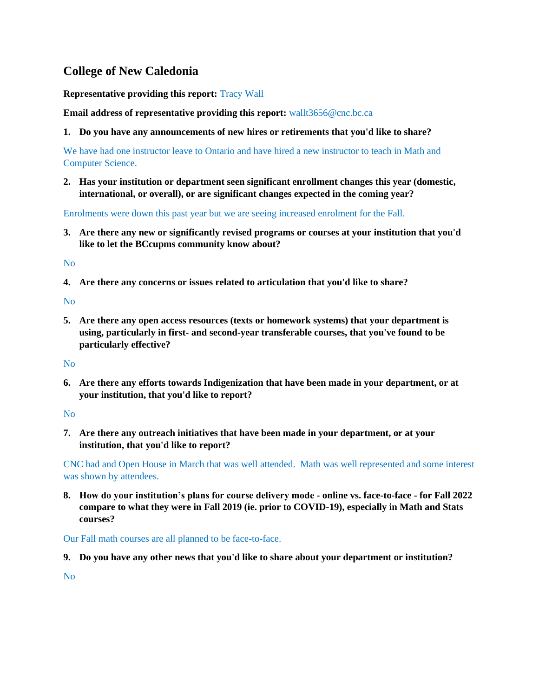# <span id="page-13-0"></span>**College of New Caledonia**

**Representative providing this report:** Tracy Wall

**Email address of representative providing this report:** wallt3656@cnc.bc.ca

**1. Do you have any announcements of new hires or retirements that you'd like to share?**

We have had one instructor leave to Ontario and have hired a new instructor to teach in Math and Computer Science.

**2. Has your institution or department seen significant enrollment changes this year (domestic, international, or overall), or are significant changes expected in the coming year?**

Enrolments were down this past year but we are seeing increased enrolment for the Fall.

**3. Are there any new or significantly revised programs or courses at your institution that you'd like to let the BCcupms community know about?**

No

**4. Are there any concerns or issues related to articulation that you'd like to share?**

No

**5. Are there any open access resources (texts or homework systems) that your department is using, particularly in first- and second-year transferable courses, that you've found to be particularly effective?**

No

**6. Are there any efforts towards Indigenization that have been made in your department, or at your institution, that you'd like to report?**

No

**7. Are there any outreach initiatives that have been made in your department, or at your institution, that you'd like to report?**

CNC had and Open House in March that was well attended. Math was well represented and some interest was shown by attendees.

**8. How do your institution's plans for course delivery mode - online vs. face-to-face - for Fall 2022 compare to what they were in Fall 2019 (ie. prior to COVID-19), especially in Math and Stats courses?**

Our Fall math courses are all planned to be face-to-face.

**9. Do you have any other news that you'd like to share about your department or institution?**

No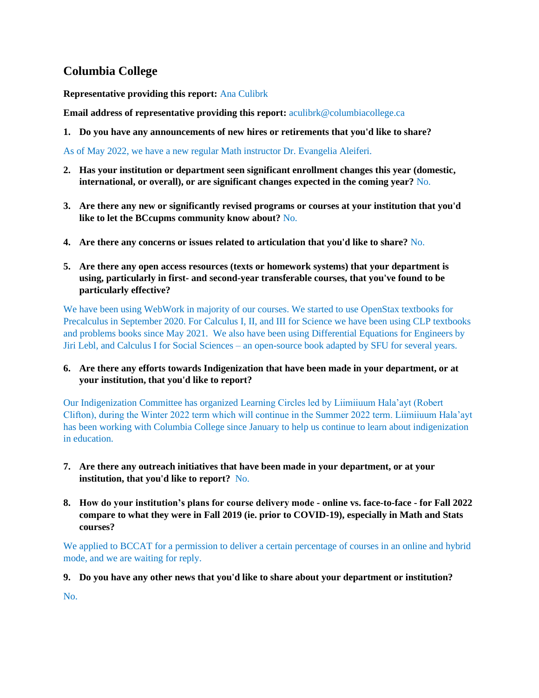# <span id="page-14-0"></span>**Columbia College**

**Representative providing this report:** Ana Culibrk

**Email address of representative providing this report:** aculibrk@columbiacollege.ca

**1. Do you have any announcements of new hires or retirements that you'd like to share?**

As of May 2022, we have a new regular Math instructor Dr. Evangelia Aleiferi.

- **2. Has your institution or department seen significant enrollment changes this year (domestic, international, or overall), or are significant changes expected in the coming year?** No.
- **3. Are there any new or significantly revised programs or courses at your institution that you'd like to let the BCcupms community know about?** No.
- **4. Are there any concerns or issues related to articulation that you'd like to share?** No.
- **5. Are there any open access resources (texts or homework systems) that your department is using, particularly in first- and second-year transferable courses, that you've found to be particularly effective?**

We have been using WebWork in majority of our courses. We started to use OpenStax textbooks for Precalculus in September 2020. For Calculus I, II, and III for Science we have been using CLP textbooks and problems books since May 2021. We also have been using Differential Equations for Engineers by Jiri Lebl, and Calculus I for Social Sciences – an open-source book adapted by SFU for several years.

## **6. Are there any efforts towards Indigenization that have been made in your department, or at your institution, that you'd like to report?**

Our Indigenization Committee has organized Learning Circles led by Liimiiuum Hala'ayt (Robert Clifton), during the Winter 2022 term which will continue in the Summer 2022 term. Liimiiuum Hala'ayt has been working with Columbia College since January to help us continue to learn about indigenization in education.

- **7. Are there any outreach initiatives that have been made in your department, or at your institution, that you'd like to report?** No.
- **8. How do your institution's plans for course delivery mode - online vs. face-to-face - for Fall 2022 compare to what they were in Fall 2019 (ie. prior to COVID-19), especially in Math and Stats courses?**

We applied to BCCAT for a permission to deliver a certain percentage of courses in an online and hybrid mode, and we are waiting for reply.

**9. Do you have any other news that you'd like to share about your department or institution?**

No.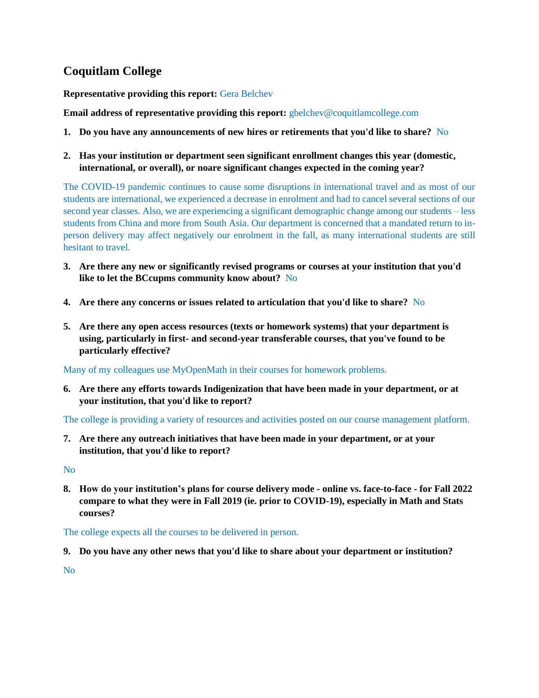# <span id="page-15-0"></span>**Coquitlam College**

**Representative providing this report:** Gera Belchev

**Email address of representative providing this report:** gbelchev@coquitlamcollege.com

- **1. Do you have any announcements of new hires or retirements that you'd like to share?** No
- **2. Has your institution or department seen significant enrollment changes this year (domestic, international, or overall), or noare significant changes expected in the coming year?**

The COVID-19 pandemic continues to cause some disruptions in international travel and as most of our students are international, we experienced a decrease in enrolment and had to cancel several sections of our second year classes. Also, we are experiencing a significant demographic change among our students – less students from China and more from South Asia. Our department is concerned that a mandated return to inperson delivery may affect negatively our enrolment in the fall, as many international students are still hesitant to travel.

- **3. Are there any new or significantly revised programs or courses at your institution that you'd like to let the BCcupms community know about?** No
- **4. Are there any concerns or issues related to articulation that you'd like to share?** No
- **5. Are there any open access resources (texts or homework systems) that your department is using, particularly in first- and second-year transferable courses, that you've found to be particularly effective?**

Many of my colleagues use MyOpenMath in their courses for homework problems.

**6. Are there any efforts towards Indigenization that have been made in your department, or at your institution, that you'd like to report?**

The college is providing a variety of resources and activities posted on our course management platform.

**7. Are there any outreach initiatives that have been made in your department, or at your institution, that you'd like to report?**

No

**8. How do your institution's plans for course delivery mode - online vs. face-to-face - for Fall 2022 compare to what they were in Fall 2019 (ie. prior to COVID-19), especially in Math and Stats courses?**

The college expects all the courses to be delivered in person.

**9. Do you have any other news that you'd like to share about your department or institution?**

No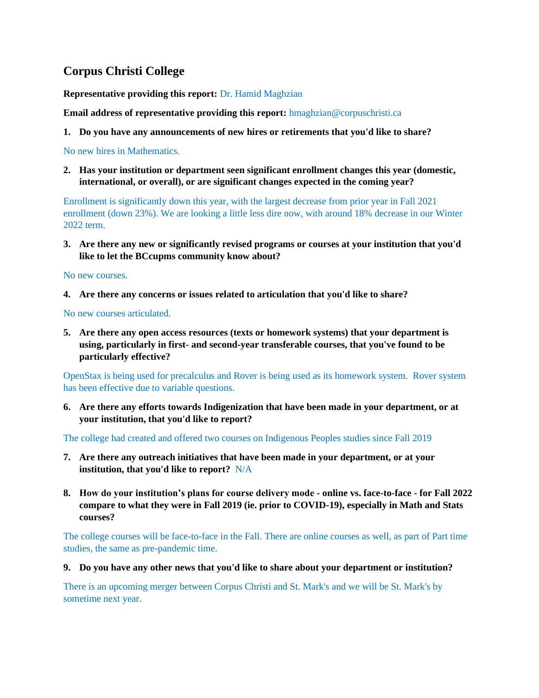# <span id="page-16-0"></span>**Corpus Christi College**

**Representative providing this report:** Dr. Hamid Maghzian

**Email address of representative providing this report:** hmaghzian@corpuschristi.ca

**1. Do you have any announcements of new hires or retirements that you'd like to share?**

No new hires in Mathematics.

**2. Has your institution or department seen significant enrollment changes this year (domestic, international, or overall), or are significant changes expected in the coming year?**

Enrollment is significantly down this year, with the largest decrease from prior year in Fall 2021 enrollment (down 23%). We are looking a little less dire now, with around 18% decrease in our Winter 2022 term.

**3. Are there any new or significantly revised programs or courses at your institution that you'd like to let the BCcupms community know about?**

No new courses.

**4. Are there any concerns or issues related to articulation that you'd like to share?**

No new courses articulated.

**5. Are there any open access resources (texts or homework systems) that your department is using, particularly in first- and second-year transferable courses, that you've found to be particularly effective?**

OpenStax is being used for precalculus and Rover is being used as its homework system. Rover system has been effective due to variable questions.

**6. Are there any efforts towards Indigenization that have been made in your department, or at your institution, that you'd like to report?**

The college had created and offered two courses on Indigenous Peoples studies since Fall 2019

- **7. Are there any outreach initiatives that have been made in your department, or at your institution, that you'd like to report?** N/A
- **8. How do your institution's plans for course delivery mode - online vs. face-to-face - for Fall 2022 compare to what they were in Fall 2019 (ie. prior to COVID-19), especially in Math and Stats courses?**

The college courses will be face-to-face in the Fall. There are online courses as well, as part of Part time studies, the same as pre-pandemic time.

**9. Do you have any other news that you'd like to share about your department or institution?**

There is an upcoming merger between Corpus Christi and St. Mark's and we will be St. Mark's by sometime next year.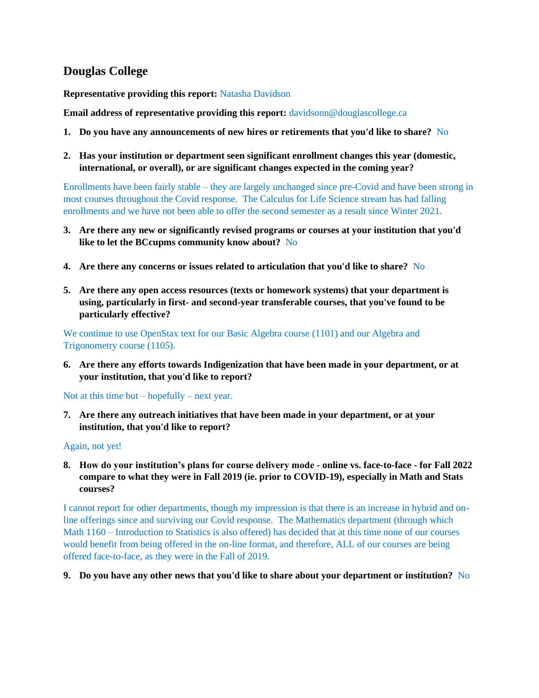# <span id="page-17-0"></span>**Douglas College**

**Representative providing this report:** Natasha Davidson

**Email address of representative providing this report:** davidsonn@douglascollege.ca

- **1. Do you have any announcements of new hires or retirements that you'd like to share?** No
- **2. Has your institution or department seen significant enrollment changes this year (domestic, international, or overall), or are significant changes expected in the coming year?**

Enrollments have been fairly stable – they are largely unchanged since pre-Covid and have been strong in most courses throughout the Covid response. The Calculus for Life Science stream has had falling enrollments and we have not been able to offer the second semester as a result since Winter 2021.

- **3. Are there any new or significantly revised programs or courses at your institution that you'd like to let the BCcupms community know about?** No
- **4. Are there any concerns or issues related to articulation that you'd like to share?** No
- **5. Are there any open access resources (texts or homework systems) that your department is using, particularly in first- and second-year transferable courses, that you've found to be particularly effective?**

We continue to use OpenStax text for our Basic Algebra course (1101) and our Algebra and Trigonometry course (1105).

**6. Are there any efforts towards Indigenization that have been made in your department, or at your institution, that you'd like to report?**

Not at this time but – hopefully – next year.

**7. Are there any outreach initiatives that have been made in your department, or at your institution, that you'd like to report?**

#### Again, not yet!

**8. How do your institution's plans for course delivery mode - online vs. face-to-face - for Fall 2022 compare to what they were in Fall 2019 (ie. prior to COVID-19), especially in Math and Stats courses?**

I cannot report for other departments, though my impression is that there is an increase in hybrid and online offerings since and surviving our Covid response. The Mathematics department (through which Math 1160 – Introduction to Statistics is also offered) has decided that at this time none of our courses would benefit from being offered in the on-line format, and therefore, ALL of our courses are being offered face-to-face, as they were in the Fall of 2019.

**9. Do you have any other news that you'd like to share about your department or institution?** No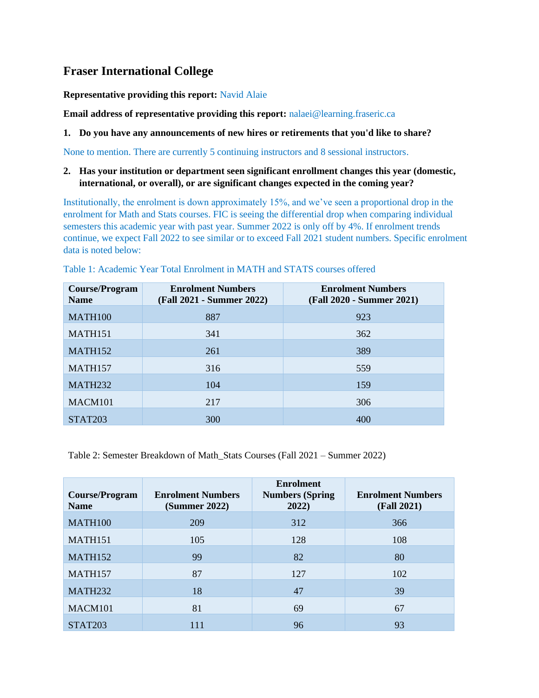# <span id="page-18-0"></span>**Fraser International College**

**Representative providing this report:** Navid Alaie

**Email address of representative providing this report:** nalaei@learning.fraseric.ca

#### **1. Do you have any announcements of new hires or retirements that you'd like to share?**

None to mention. There are currently 5 continuing instructors and 8 sessional instructors.

#### **2. Has your institution or department seen significant enrollment changes this year (domestic, international, or overall), or are significant changes expected in the coming year?**

Institutionally, the enrolment is down approximately 15%, and we've seen a proportional drop in the enrolment for Math and Stats courses. FIC is seeing the differential drop when comparing individual semesters this academic year with past year. Summer 2022 is only off by 4%. If enrolment trends continue, we expect Fall 2022 to see similar or to exceed Fall 2021 student numbers. Specific enrolment data is noted below:

| <b>Course/Program</b><br><b>Name</b> | <b>Enrolment Numbers</b><br>(Fall 2021 - Summer 2022) | <b>Enrolment Numbers</b><br>(Fall 2020 - Summer 2021) |
|--------------------------------------|-------------------------------------------------------|-------------------------------------------------------|
| <b>MATH100</b>                       | 887                                                   | 923                                                   |
| <b>MATH151</b>                       | 341                                                   | 362                                                   |
| <b>MATH152</b>                       | 261                                                   | 389                                                   |
| <b>MATH157</b>                       | 316                                                   | 559                                                   |
| <b>MATH232</b>                       | 104                                                   | 159                                                   |
| MACM <sub>101</sub>                  | 217                                                   | 306                                                   |
| <b>STAT203</b>                       | 300                                                   | 400                                                   |

Table 1: Academic Year Total Enrolment in MATH and STATS courses offered

Table 2: Semester Breakdown of Math\_Stats Courses (Fall 2021 – Summer 2022)

| Course/Program<br><b>Name</b> | <b>Enrolment Numbers</b><br>(Summer 2022) | <b>Enrolment</b><br><b>Numbers (Spring</b><br>2022) | <b>Enrolment Numbers</b><br><b>(Fall 2021)</b> |
|-------------------------------|-------------------------------------------|-----------------------------------------------------|------------------------------------------------|
| MATH100                       | 209                                       | 312                                                 | 366                                            |
| MATH151                       | 105                                       | 128                                                 | 108                                            |
| <b>MATH152</b>                | 99                                        | 82                                                  | 80                                             |
| <b>MATH157</b>                | 87                                        | 127                                                 | 102                                            |
| <b>MATH232</b>                | 18                                        | 47                                                  | 39                                             |
| MACM101                       | 81                                        | 69                                                  | 67                                             |
| <b>STAT203</b>                | 111                                       | 96                                                  | 93                                             |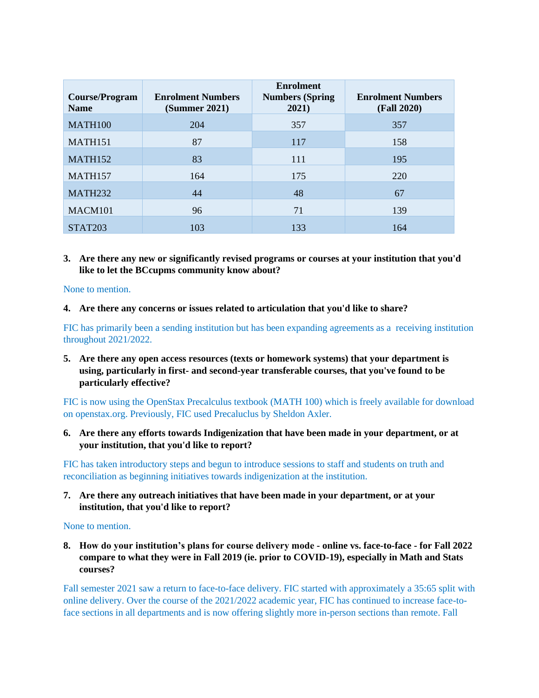| Course/Program<br><b>Name</b> | <b>Enrolment Numbers</b><br>(Summer 2021) | <b>Enrolment</b><br><b>Numbers (Spring</b><br>2021) | <b>Enrolment Numbers</b><br><b>(Fall 2020)</b> |
|-------------------------------|-------------------------------------------|-----------------------------------------------------|------------------------------------------------|
| <b>MATH100</b>                | 204                                       | 357                                                 | 357                                            |
| MATH151                       | 87                                        | 117                                                 | 158                                            |
| <b>MATH152</b>                | 83                                        | 111                                                 | 195                                            |
| <b>MATH157</b>                | 164                                       | 175                                                 | 220                                            |
| <b>MATH232</b>                | 44                                        | 48                                                  | 67                                             |
| MACM101                       | 96                                        | 71                                                  | 139                                            |
| <b>STAT203</b>                | 103                                       | 133                                                 | 164                                            |

**3. Are there any new or significantly revised programs or courses at your institution that you'd like to let the BCcupms community know about?**

None to mention.

**4. Are there any concerns or issues related to articulation that you'd like to share?**

FIC has primarily been a sending institution but has been expanding agreements as a receiving institution throughout 2021/2022.

**5. Are there any open access resources (texts or homework systems) that your department is using, particularly in first- and second-year transferable courses, that you've found to be particularly effective?**

FIC is now using the OpenStax Precalculus textbook (MATH 100) which is freely available for download on openstax.org. Previously, FIC used Precaluclus by Sheldon Axler.

**6. Are there any efforts towards Indigenization that have been made in your department, or at your institution, that you'd like to report?**

FIC has taken introductory steps and begun to introduce sessions to staff and students on truth and reconciliation as beginning initiatives towards indigenization at the institution.

**7. Are there any outreach initiatives that have been made in your department, or at your institution, that you'd like to report?**

None to mention.

**8. How do your institution's plans for course delivery mode - online vs. face-to-face - for Fall 2022 compare to what they were in Fall 2019 (ie. prior to COVID-19), especially in Math and Stats courses?**

Fall semester 2021 saw a return to face-to-face delivery. FIC started with approximately a 35:65 split with online delivery. Over the course of the 2021/2022 academic year, FIC has continued to increase face-toface sections in all departments and is now offering slightly more in-person sections than remote. Fall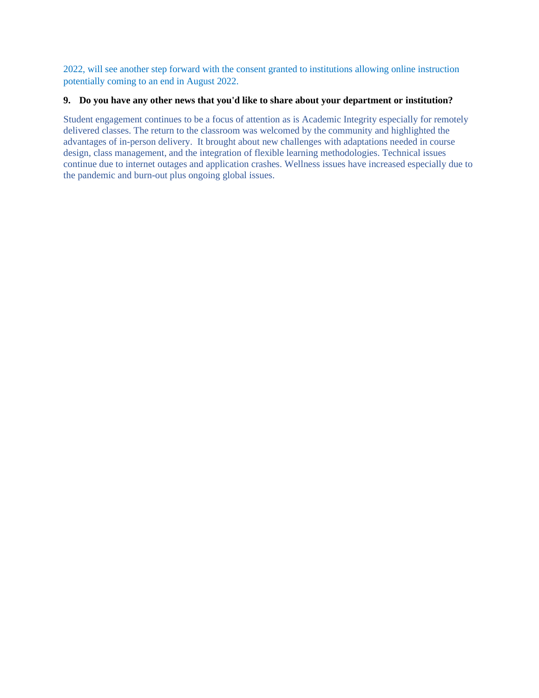2022, will see another step forward with the consent granted to institutions allowing online instruction potentially coming to an end in August 2022.

#### **9. Do you have any other news that you'd like to share about your department or institution?**

Student engagement continues to be a focus of attention as is Academic Integrity especially for remotely delivered classes. The return to the classroom was welcomed by the community and highlighted the advantages of in-person delivery. It brought about new challenges with adaptations needed in course design, class management, and the integration of flexible learning methodologies. Technical issues continue due to internet outages and application crashes. Wellness issues have increased especially due to the pandemic and burn-out plus ongoing global issues.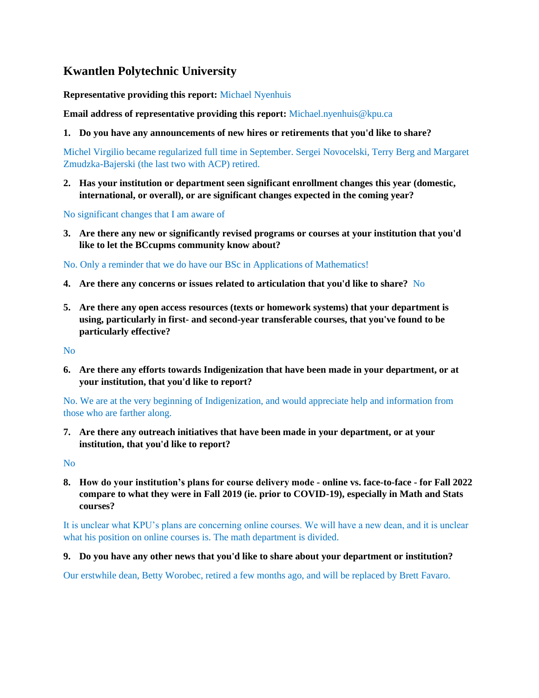# <span id="page-21-0"></span>**Kwantlen Polytechnic University**

**Representative providing this report:** Michael Nyenhuis

**Email address of representative providing this report:** Michael.nyenhuis@kpu.ca

**1. Do you have any announcements of new hires or retirements that you'd like to share?**

Michel Virgilio became regularized full time in September. Sergei Novocelski, Terry Berg and Margaret Zmudzka-Bajerski (the last two with ACP) retired.

**2. Has your institution or department seen significant enrollment changes this year (domestic, international, or overall), or are significant changes expected in the coming year?**

No significant changes that I am aware of

**3. Are there any new or significantly revised programs or courses at your institution that you'd like to let the BCcupms community know about?**

No. Only a reminder that we do have our BSc in Applications of Mathematics!

- **4. Are there any concerns or issues related to articulation that you'd like to share?** No
- **5. Are there any open access resources (texts or homework systems) that your department is using, particularly in first- and second-year transferable courses, that you've found to be particularly effective?**

No

**6. Are there any efforts towards Indigenization that have been made in your department, or at your institution, that you'd like to report?**

No. We are at the very beginning of Indigenization, and would appreciate help and information from those who are farther along.

**7. Are there any outreach initiatives that have been made in your department, or at your institution, that you'd like to report?**

No

**8. How do your institution's plans for course delivery mode - online vs. face-to-face - for Fall 2022 compare to what they were in Fall 2019 (ie. prior to COVID-19), especially in Math and Stats courses?**

It is unclear what KPU's plans are concerning online courses. We will have a new dean, and it is unclear what his position on online courses is. The math department is divided.

**9. Do you have any other news that you'd like to share about your department or institution?**

Our erstwhile dean, Betty Worobec, retired a few months ago, and will be replaced by Brett Favaro.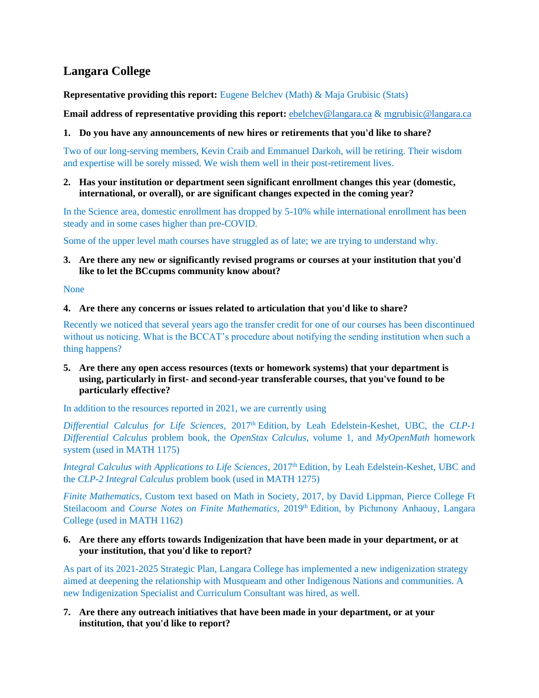# <span id="page-22-0"></span>**Langara College**

**Representative providing this report:** Eugene Belchev (Math) & Maja Grubisic (Stats)

**Email address of representative providing this report:** [ebelchev@langara.ca](mailto:ebelchev@langara.ca) & [mgrubisic@langara.ca](mailto:mgrubisic@langara.ca)

#### **1. Do you have any announcements of new hires or retirements that you'd like to share?**

Two of our long-serving members, Kevin Craib and Emmanuel Darkoh, will be retiring. Their wisdom and expertise will be sorely missed. We wish them well in their post-retirement lives.

#### **2. Has your institution or department seen significant enrollment changes this year (domestic, international, or overall), or are significant changes expected in the coming year?**

In the Science area, domestic enrollment has dropped by 5-10% while international enrollment has been steady and in some cases higher than pre-COVID.

Some of the upper level math courses have struggled as of late; we are trying to understand why.

#### **3. Are there any new or significantly revised programs or courses at your institution that you'd like to let the BCcupms community know about?**

None

#### **4. Are there any concerns or issues related to articulation that you'd like to share?**

Recently we noticed that several years ago the transfer credit for one of our courses has been discontinued without us noticing. What is the BCCAT's procedure about notifying the sending institution when such a thing happens?

#### **5. Are there any open access resources (texts or homework systems) that your department is using, particularly in first- and second-year transferable courses, that you've found to be particularly effective?**

In addition to the resources reported in 2021, we are currently using

*Differential Calculus for Life Sciences, 2017*<sup>th</sup> Edition, by Leah Edelstein-Keshet, UBC, the *CLP-1 Differential Calculus* problem book, the *OpenStax Calculus*, volume 1, and *MyOpenMath* homework system (used in MATH 1175)

*Integral Calculus with Applications to Life Sciences*, 2017<sup>th</sup> Edition, by Leah Edelstein-Keshet, UBC and the *CLP-2 Integral Calculus* problem book (used in MATH 1275)

*Finite Mathematics,* Custom text based on Math in Society, 2017, by David Lippman, Pierce College Ft Steilacoom and *Course Notes on Finite Mathematics*, 2019th Edition, by Pichmony Anhaouy, Langara College (used in MATH 1162)

#### **6. Are there any efforts towards Indigenization that have been made in your department, or at your institution, that you'd like to report?**

As part of its 2021-2025 Strategic Plan, Langara College has implemented a new indigenization strategy aimed at deepening the relationship with Musqueam and other Indigenous Nations and communities. A new Indigenization Specialist and Curriculum Consultant was hired, as well.

#### **7. Are there any outreach initiatives that have been made in your department, or at your institution, that you'd like to report?**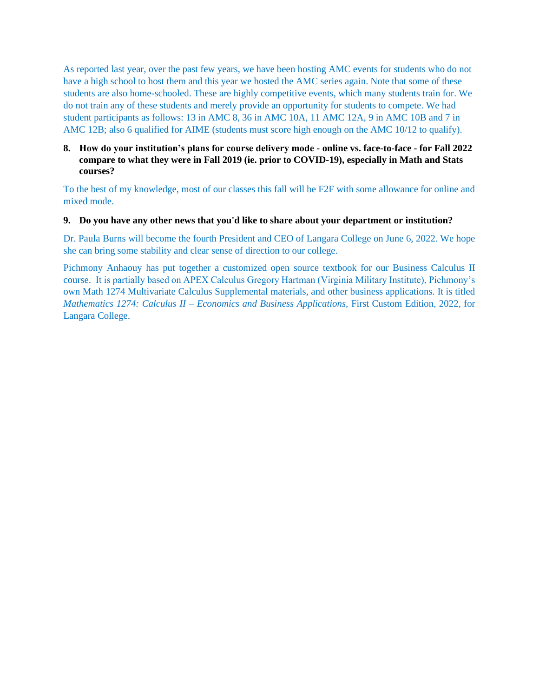As reported last year, over the past few years, we have been hosting AMC events for students who do not have a high school to host them and this year we hosted the AMC series again. Note that some of these students are also home-schooled. These are highly competitive events, which many students train for. We do not train any of these students and merely provide an opportunity for students to compete. We had student participants as follows: 13 in AMC 8, 36 in AMC 10A, 11 AMC 12A, 9 in AMC 10B and 7 in AMC 12B; also 6 qualified for AIME (students must score high enough on the AMC 10/12 to qualify).

#### **8. How do your institution's plans for course delivery mode - online vs. face-to-face - for Fall 2022 compare to what they were in Fall 2019 (ie. prior to COVID-19), especially in Math and Stats courses?**

To the best of my knowledge, most of our classes this fall will be F2F with some allowance for online and mixed mode.

#### **9. Do you have any other news that you'd like to share about your department or institution?**

Dr. Paula Burns will become the fourth President and CEO of Langara College on June 6, 2022. We hope she can bring some stability and clear sense of direction to our college.

Pichmony Anhaouy has put together a customized open source textbook for our Business Calculus II course. It is partially based on APEX Calculus Gregory Hartman (Virginia Military Institute), Pichmony's own Math 1274 Multivariate Calculus Supplemental materials, and other business applications. It is titled *Mathematics 1274: Calculus II – Economics and Business Applications,* First Custom Edition, 2022, for Langara College.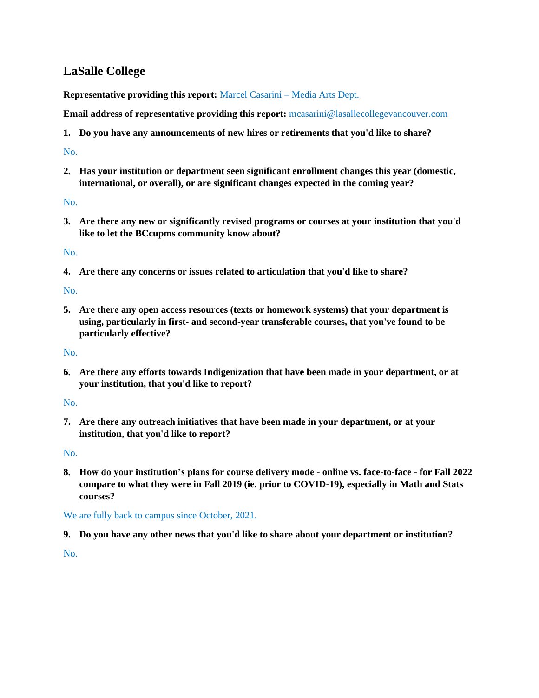# <span id="page-24-0"></span>**LaSalle College**

**Representative providing this report:** Marcel Casarini – Media Arts Dept.

**Email address of representative providing this report:** mcasarini@lasallecollegevancouver.com

**1. Do you have any announcements of new hires or retirements that you'd like to share?**

## No.

**2. Has your institution or department seen significant enrollment changes this year (domestic, international, or overall), or are significant changes expected in the coming year?**

## No.

**3. Are there any new or significantly revised programs or courses at your institution that you'd like to let the BCcupms community know about?**

No.

**4. Are there any concerns or issues related to articulation that you'd like to share?**

No.

**5. Are there any open access resources (texts or homework systems) that your department is using, particularly in first- and second-year transferable courses, that you've found to be particularly effective?**

No.

**6. Are there any efforts towards Indigenization that have been made in your department, or at your institution, that you'd like to report?**

No.

**7. Are there any outreach initiatives that have been made in your department, or at your institution, that you'd like to report?**

No.

**8. How do your institution's plans for course delivery mode - online vs. face-to-face - for Fall 2022 compare to what they were in Fall 2019 (ie. prior to COVID-19), especially in Math and Stats courses?**

We are fully back to campus since October, 2021.

**9. Do you have any other news that you'd like to share about your department or institution?**

No.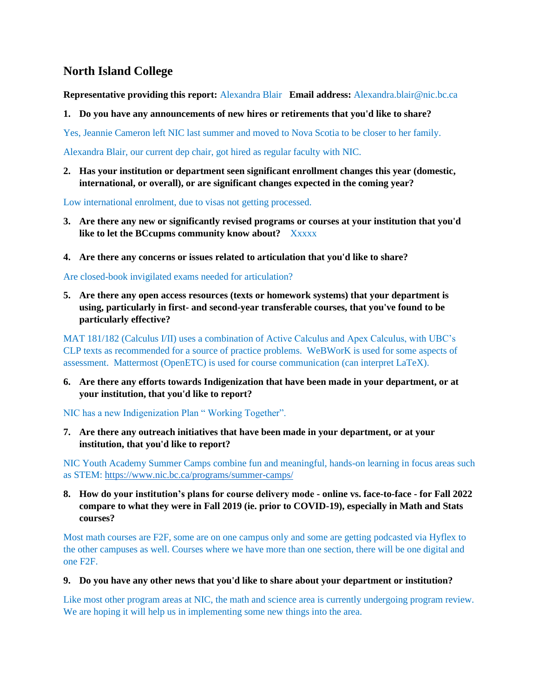# <span id="page-25-0"></span>**North Island College**

**Representative providing this report:** Alexandra Blair **Email address:** Alexandra.blair@nic.bc.ca

**1. Do you have any announcements of new hires or retirements that you'd like to share?**

Yes, Jeannie Cameron left NIC last summer and moved to Nova Scotia to be closer to her family.

Alexandra Blair, our current dep chair, got hired as regular faculty with NIC.

**2. Has your institution or department seen significant enrollment changes this year (domestic, international, or overall), or are significant changes expected in the coming year?**

Low international enrolment, due to visas not getting processed.

- **3. Are there any new or significantly revised programs or courses at your institution that you'd like to let the BCcupms community know about?** Xxxxx
- **4. Are there any concerns or issues related to articulation that you'd like to share?**

Are closed-book invigilated exams needed for articulation?

**5. Are there any open access resources (texts or homework systems) that your department is using, particularly in first- and second-year transferable courses, that you've found to be particularly effective?**

MAT 181/182 (Calculus I/II) uses a combination of Active Calculus and Apex Calculus, with UBC's CLP texts as recommended for a source of practice problems. WeBWorK is used for some aspects of assessment. Mattermost (OpenETC) is used for course communication (can interpret LaTeX).

**6. Are there any efforts towards Indigenization that have been made in your department, or at your institution, that you'd like to report?**

NIC has a new Indigenization Plan " Working Together".

**7. Are there any outreach initiatives that have been made in your department, or at your institution, that you'd like to report?**

NIC Youth Academy Summer Camps combine fun and meaningful, hands-on learning in focus areas such as STEM:<https://www.nic.bc.ca/programs/summer-camps/>

**8. How do your institution's plans for course delivery mode - online vs. face-to-face - for Fall 2022 compare to what they were in Fall 2019 (ie. prior to COVID-19), especially in Math and Stats courses?**

Most math courses are F2F, some are on one campus only and some are getting podcasted via Hyflex to the other campuses as well. Courses where we have more than one section, there will be one digital and one F2F.

**9. Do you have any other news that you'd like to share about your department or institution?**

Like most other program areas at NIC, the math and science area is currently undergoing program review. We are hoping it will help us in implementing some new things into the area.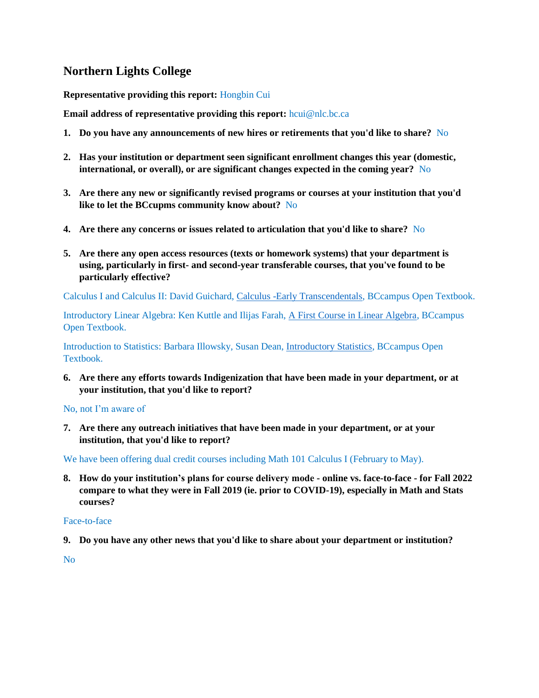# <span id="page-26-0"></span>**Northern Lights College**

**Representative providing this report:** Hongbin Cui

**Email address of representative providing this report:** hcui@nlc.bc.ca

- **1. Do you have any announcements of new hires or retirements that you'd like to share?** No
- **2. Has your institution or department seen significant enrollment changes this year (domestic, international, or overall), or are significant changes expected in the coming year?** No
- **3. Are there any new or significantly revised programs or courses at your institution that you'd like to let the BCcupms community know about?** No
- **4. Are there any concerns or issues related to articulation that you'd like to share?** No
- **5. Are there any open access resources (texts or homework systems) that your department is using, particularly in first- and second-year transferable courses, that you've found to be particularly effective?**

Calculus I and Calculus II: David Guichard[, Calculus -Early Transcendentals,](https://open.bccampus.ca/browse-our-collection/find-open-textbooks/?uuid=662054ef-3b43-4e62-a509-44ec78e5d8c1&contributor=&keyword=&subject=Calculus) BCcampus Open Textbook.

Introductory Linear Algebra: Ken Kuttle and Ilijas Farah, [A First Course in Linear Algebra,](https://open.bccampus.ca/browse-our-collection/find-open-textbooks/?uuid=af6e479a-fd5a-44f9-955c-84ece5bfc34a&contributor=&keyword=&subject=Algebra) BCcampus Open Textbook.

Introduction to Statistics: Barbara Illowsky, Susan Dean, [Introductory Statistics,](https://open.bccampus.ca/browse-our-collection/find-open-textbooks/?uuid=1a2a3483-52e3-47b0-b9d9-a4934aceec4d&contributor=&keyword=&subject=Statistics) BCcampus Open Textbook.

**6. Are there any efforts towards Indigenization that have been made in your department, or at your institution, that you'd like to report?**

No, not I'm aware of

**7. Are there any outreach initiatives that have been made in your department, or at your institution, that you'd like to report?**

We have been offering dual credit courses including Math 101 Calculus I (February to May).

**8. How do your institution's plans for course delivery mode - online vs. face-to-face - for Fall 2022 compare to what they were in Fall 2019 (ie. prior to COVID-19), especially in Math and Stats courses?**

#### Face-to-face

**9. Do you have any other news that you'd like to share about your department or institution?**

No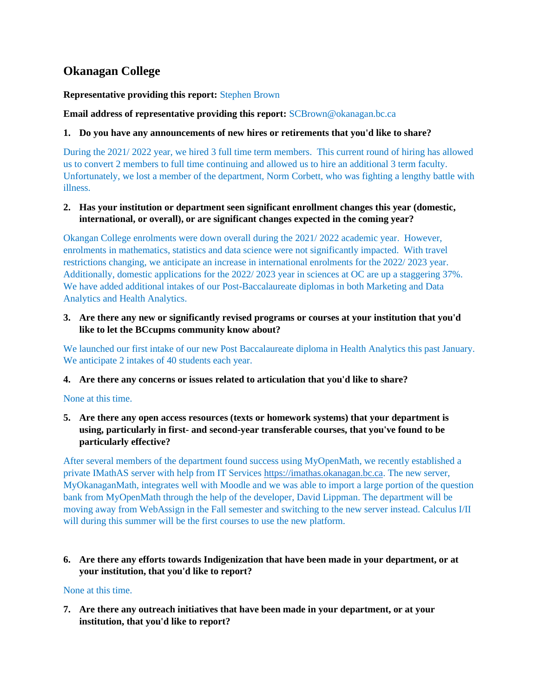# <span id="page-27-0"></span>**Okanagan College**

## **Representative providing this report:** Stephen Brown

**Email address of representative providing this report:** SCBrown@okanagan.bc.ca

#### **1. Do you have any announcements of new hires or retirements that you'd like to share?**

During the 2021/ 2022 year, we hired 3 full time term members. This current round of hiring has allowed us to convert 2 members to full time continuing and allowed us to hire an additional 3 term faculty. Unfortunately, we lost a member of the department, Norm Corbett, who was fighting a lengthy battle with illness.

#### **2. Has your institution or department seen significant enrollment changes this year (domestic, international, or overall), or are significant changes expected in the coming year?**

Okangan College enrolments were down overall during the 2021/ 2022 academic year. However, enrolments in mathematics, statistics and data science were not significantly impacted. With travel restrictions changing, we anticipate an increase in international enrolments for the 2022/ 2023 year. Additionally, domestic applications for the 2022/ 2023 year in sciences at OC are up a staggering 37%. We have added additional intakes of our Post-Baccalaureate diplomas in both Marketing and Data Analytics and Health Analytics.

#### **3. Are there any new or significantly revised programs or courses at your institution that you'd like to let the BCcupms community know about?**

We launched our first intake of our new Post Baccalaureate diploma in Health Analytics this past January. We anticipate 2 intakes of 40 students each year.

#### **4. Are there any concerns or issues related to articulation that you'd like to share?**

None at this time.

## **5. Are there any open access resources (texts or homework systems) that your department is using, particularly in first- and second-year transferable courses, that you've found to be particularly effective?**

After several members of the department found success using MyOpenMath, we recently established a private IMathAS server with help from IT Services [https://imathas.okanagan.bc.ca.](https://imathas.okanagan.bc.ca/) The new server, MyOkanaganMath, integrates well with Moodle and we was able to import a large portion of the question bank from MyOpenMath through the help of the developer, David Lippman. The department will be moving away from WebAssign in the Fall semester and switching to the new server instead. Calculus I/II will during this summer will be the first courses to use the new platform.

**6. Are there any efforts towards Indigenization that have been made in your department, or at your institution, that you'd like to report?**

#### None at this time.

**7. Are there any outreach initiatives that have been made in your department, or at your institution, that you'd like to report?**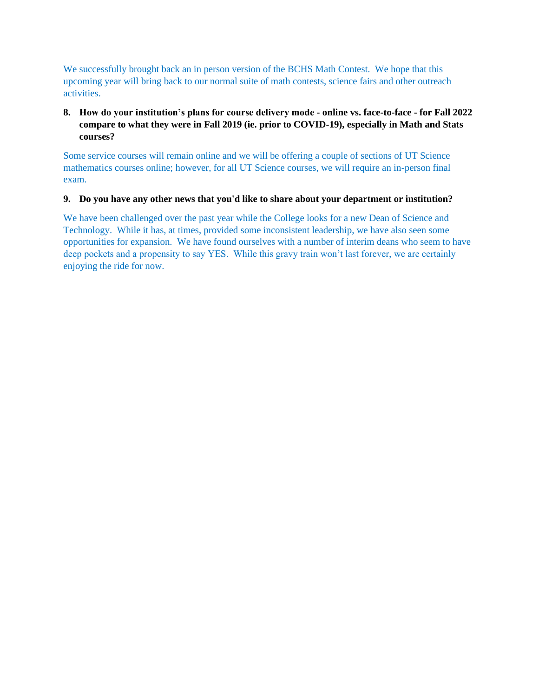We successfully brought back an in person version of the BCHS Math Contest. We hope that this upcoming year will bring back to our normal suite of math contests, science fairs and other outreach activities.

## **8. How do your institution's plans for course delivery mode - online vs. face-to-face - for Fall 2022 compare to what they were in Fall 2019 (ie. prior to COVID-19), especially in Math and Stats courses?**

Some service courses will remain online and we will be offering a couple of sections of UT Science mathematics courses online; however, for all UT Science courses, we will require an in-person final exam.

#### **9. Do you have any other news that you'd like to share about your department or institution?**

We have been challenged over the past year while the College looks for a new Dean of Science and Technology. While it has, at times, provided some inconsistent leadership, we have also seen some opportunities for expansion. We have found ourselves with a number of interim deans who seem to have deep pockets and a propensity to say YES. While this gravy train won't last forever, we are certainly enjoying the ride for now.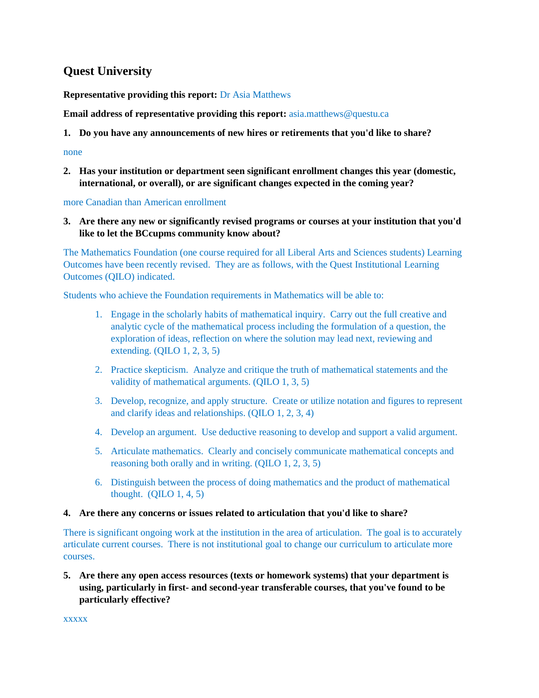# <span id="page-29-0"></span>**Quest University**

## **Representative providing this report:** Dr Asia Matthews

**Email address of representative providing this report:** asia.matthews@questu.ca

**1. Do you have any announcements of new hires or retirements that you'd like to share?**

#### none

**2. Has your institution or department seen significant enrollment changes this year (domestic, international, or overall), or are significant changes expected in the coming year?**

more Canadian than American enrollment

**3. Are there any new or significantly revised programs or courses at your institution that you'd like to let the BCcupms community know about?**

The Mathematics Foundation (one course required for all Liberal Arts and Sciences students) Learning Outcomes have been recently revised. They are as follows, with the Quest Institutional Learning Outcomes (QILO) indicated.

Students who achieve the Foundation requirements in Mathematics will be able to:

- 1. Engage in the scholarly habits of mathematical inquiry. Carry out the full creative and analytic cycle of the mathematical process including the formulation of a question, the exploration of ideas, reflection on where the solution may lead next, reviewing and extending. (QILO 1, 2, 3, 5)
- 2. Practice skepticism. Analyze and critique the truth of mathematical statements and the validity of mathematical arguments. (QILO 1, 3, 5)
- 3. Develop, recognize, and apply structure. Create or utilize notation and figures to represent and clarify ideas and relationships. (QILO 1, 2, 3, 4)
- 4. Develop an argument. Use deductive reasoning to develop and support a valid argument.
- 5. Articulate mathematics. Clearly and concisely communicate mathematical concepts and reasoning both orally and in writing. (QILO 1, 2, 3, 5)
- 6. Distinguish between the process of doing mathematics and the product of mathematical thought.  $(QILO 1, 4, 5)$

## **4. Are there any concerns or issues related to articulation that you'd like to share?**

There is significant ongoing work at the institution in the area of articulation. The goal is to accurately articulate current courses. There is not institutional goal to change our curriculum to articulate more courses.

**5. Are there any open access resources (texts or homework systems) that your department is using, particularly in first- and second-year transferable courses, that you've found to be particularly effective?**

xxxxx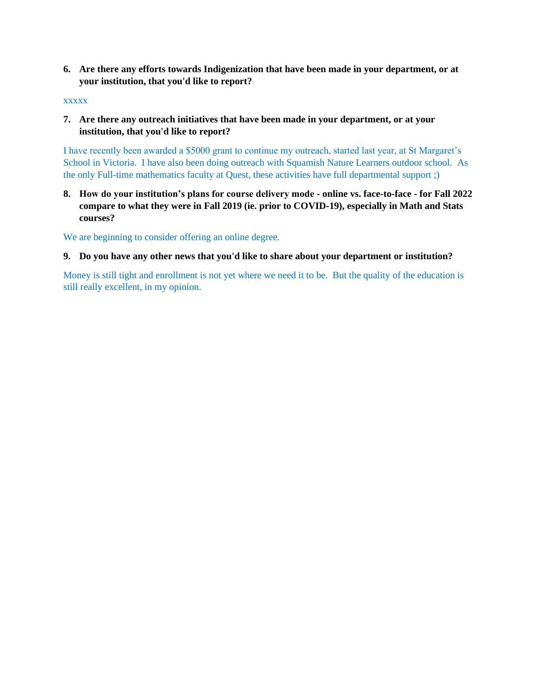**6. Are there any efforts towards Indigenization that have been made in your department, or at your institution, that you'd like to report?**

#### xxxxx

**7. Are there any outreach initiatives that have been made in your department, or at your institution, that you'd like to report?**

I have recently been awarded a \$5000 grant to continue my outreach, started last year, at St Margaret's School in Victoria. I have also been doing outreach with Squamish Nature Learners outdoor school. As the only Full-time mathematics faculty at Quest, these activities have full departmental support ;)

**8. How do your institution's plans for course delivery mode - online vs. face-to-face - for Fall 2022 compare to what they were in Fall 2019 (ie. prior to COVID-19), especially in Math and Stats courses?**

We are beginning to consider offering an online degree.

#### **9. Do you have any other news that you'd like to share about your department or institution?**

Money is still tight and enrollment is not yet where we need it to be. But the quality of the education is still really excellent, in my opinion.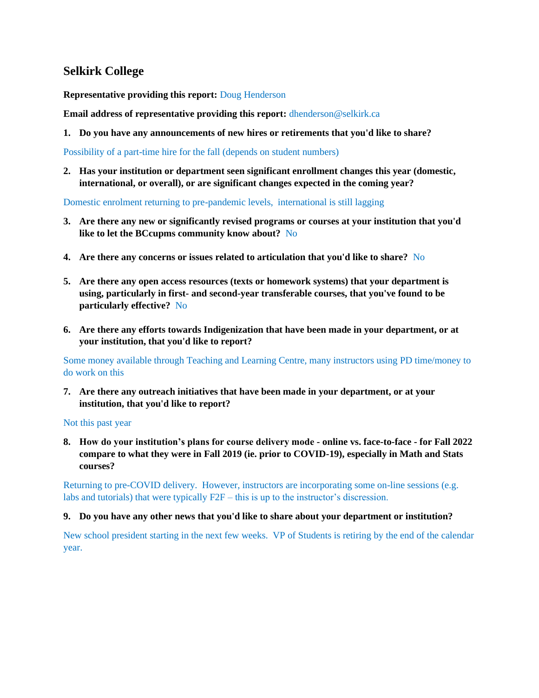# <span id="page-31-0"></span>**Selkirk College**

**Representative providing this report:** Doug Henderson

**Email address of representative providing this report:** dhenderson@selkirk.ca

**1. Do you have any announcements of new hires or retirements that you'd like to share?**

Possibility of a part-time hire for the fall (depends on student numbers)

**2. Has your institution or department seen significant enrollment changes this year (domestic, international, or overall), or are significant changes expected in the coming year?**

Domestic enrolment returning to pre-pandemic levels, international is still lagging

- **3. Are there any new or significantly revised programs or courses at your institution that you'd like to let the BCcupms community know about?** No
- **4. Are there any concerns or issues related to articulation that you'd like to share?** No
- **5. Are there any open access resources (texts or homework systems) that your department is using, particularly in first- and second-year transferable courses, that you've found to be particularly effective?** No
- **6. Are there any efforts towards Indigenization that have been made in your department, or at your institution, that you'd like to report?**

Some money available through Teaching and Learning Centre, many instructors using PD time/money to do work on this

**7. Are there any outreach initiatives that have been made in your department, or at your institution, that you'd like to report?**

Not this past year

**8. How do your institution's plans for course delivery mode - online vs. face-to-face - for Fall 2022 compare to what they were in Fall 2019 (ie. prior to COVID-19), especially in Math and Stats courses?**

Returning to pre-COVID delivery. However, instructors are incorporating some on-line sessions (e.g. labs and tutorials) that were typically F2F – this is up to the instructor's discression.

#### **9. Do you have any other news that you'd like to share about your department or institution?**

New school president starting in the next few weeks. VP of Students is retiring by the end of the calendar year.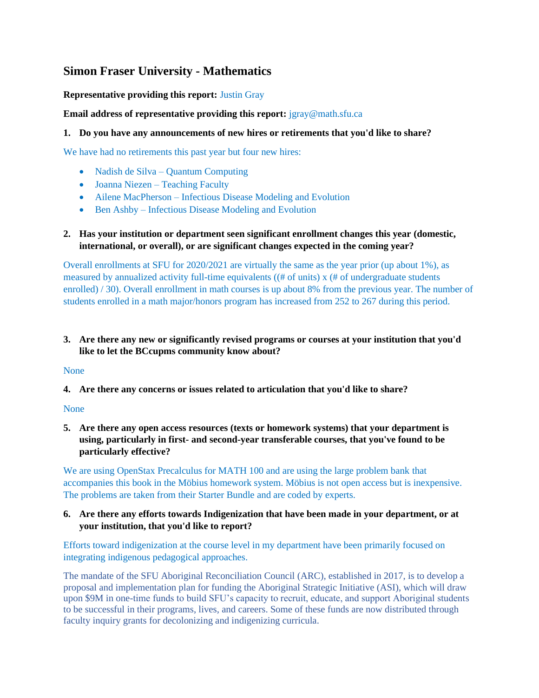# <span id="page-32-0"></span>**Simon Fraser University - Mathematics**

## **Representative providing this report:** Justin Gray

**Email address of representative providing this report:**  $j$ gray@math.sfu.ca

## **1. Do you have any announcements of new hires or retirements that you'd like to share?**

We have had no retirements this past year but four new hires:

- Nadish de Silva Quantum Computing
- Joanna Niezen Teaching Faculty
- Ailene MacPherson Infectious Disease Modeling and Evolution
- Ben Ashby Infectious Disease Modeling and Evolution

## **2. Has your institution or department seen significant enrollment changes this year (domestic, international, or overall), or are significant changes expected in the coming year?**

Overall enrollments at SFU for 2020/2021 are virtually the same as the year prior (up about 1%), as measured by annualized activity full-time equivalents ( $#$  of units)  $x$   $#$  of undergraduate students enrolled) / 30). Overall enrollment in math courses is up about 8% from the previous year. The number of students enrolled in a math major/honors program has increased from 252 to 267 during this period.

## **3. Are there any new or significantly revised programs or courses at your institution that you'd like to let the BCcupms community know about?**

## None

**4. Are there any concerns or issues related to articulation that you'd like to share?**

## None

**5. Are there any open access resources (texts or homework systems) that your department is using, particularly in first- and second-year transferable courses, that you've found to be particularly effective?**

We are using OpenStax Precalculus for MATH 100 and are using the large problem bank that accompanies this book in the Möbius homework system. Möbius is not open access but is inexpensive. The problems are taken from their Starter Bundle and are coded by experts.

## **6. Are there any efforts towards Indigenization that have been made in your department, or at your institution, that you'd like to report?**

Efforts toward indigenization at the course level in my department have been primarily focused on integrating indigenous pedagogical approaches.

The mandate of the SFU Aboriginal Reconciliation Council (ARC), established in 2017, is to develop a proposal and implementation plan for funding the Aboriginal Strategic Initiative (ASI), which will draw upon \$9M in one-time funds to build SFU's capacity to recruit, educate, and support Aboriginal students to be successful in their programs, lives, and careers. Some of these funds are now distributed through faculty inquiry grants for decolonizing and indigenizing curricula.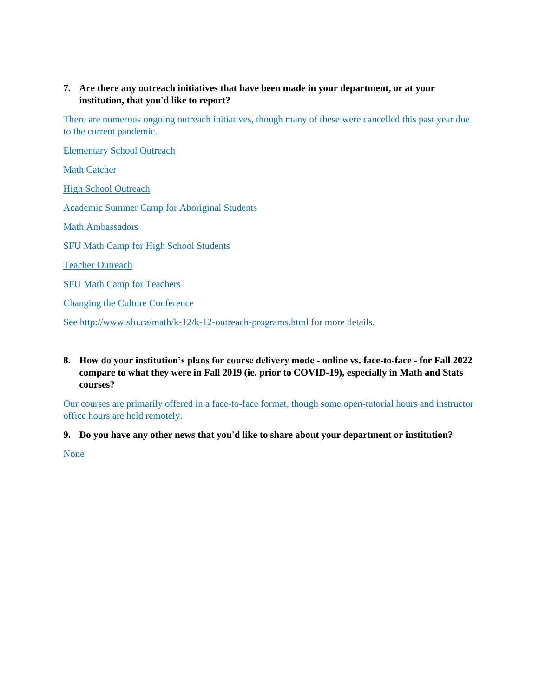## **7. Are there any outreach initiatives that have been made in your department, or at your institution, that you'd like to report?**

There are numerous ongoing outreach initiatives, though many of these were cancelled this past year due to the current pandemic.

Elementary School Outreach Math Catcher High School Outreach Academic Summer Camp for Aboriginal Students Math Ambassadors SFU Math Camp for High School Students Teacher Outreach SFU Math Camp for Teachers Changing the Culture Conference

See<http://www.sfu.ca/math/k-12/k-12-outreach-programs.html> for more details.

## **8. How do your institution's plans for course delivery mode - online vs. face-to-face - for Fall 2022 compare to what they were in Fall 2019 (ie. prior to COVID-19), especially in Math and Stats courses?**

Our courses are primarily offered in a face-to-face format, though some open-tutorial hours and instructor office hours are held remotely.

**9. Do you have any other news that you'd like to share about your department or institution?**

None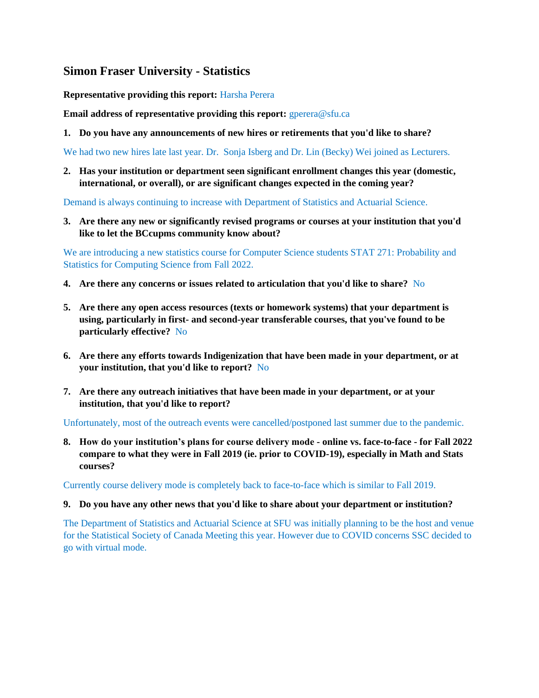# <span id="page-34-0"></span>**Simon Fraser University - Statistics**

**Representative providing this report:** Harsha Perera

**Email address of representative providing this report: gperera@sfu.ca** 

**1. Do you have any announcements of new hires or retirements that you'd like to share?**

We had two new hires late last year. Dr. Sonja Isberg and Dr. Lin (Becky) Wei joined as Lecturers.

**2. Has your institution or department seen significant enrollment changes this year (domestic, international, or overall), or are significant changes expected in the coming year?**

Demand is always continuing to increase with Department of Statistics and Actuarial Science.

**3. Are there any new or significantly revised programs or courses at your institution that you'd like to let the BCcupms community know about?**

We are introducing a new statistics course for Computer Science students STAT 271: Probability and Statistics for Computing Science from Fall 2022.

- **4. Are there any concerns or issues related to articulation that you'd like to share?** No
- **5. Are there any open access resources (texts or homework systems) that your department is using, particularly in first- and second-year transferable courses, that you've found to be particularly effective?** No
- **6. Are there any efforts towards Indigenization that have been made in your department, or at your institution, that you'd like to report?** No
- **7. Are there any outreach initiatives that have been made in your department, or at your institution, that you'd like to report?**

Unfortunately, most of the outreach events were cancelled/postponed last summer due to the pandemic.

**8. How do your institution's plans for course delivery mode - online vs. face-to-face - for Fall 2022 compare to what they were in Fall 2019 (ie. prior to COVID-19), especially in Math and Stats courses?**

Currently course delivery mode is completely back to face-to-face which is similar to Fall 2019.

#### **9. Do you have any other news that you'd like to share about your department or institution?**

The Department of Statistics and Actuarial Science at SFU was initially planning to be the host and venue for the Statistical Society of Canada Meeting this year. However due to COVID concerns SSC decided to go with virtual mode.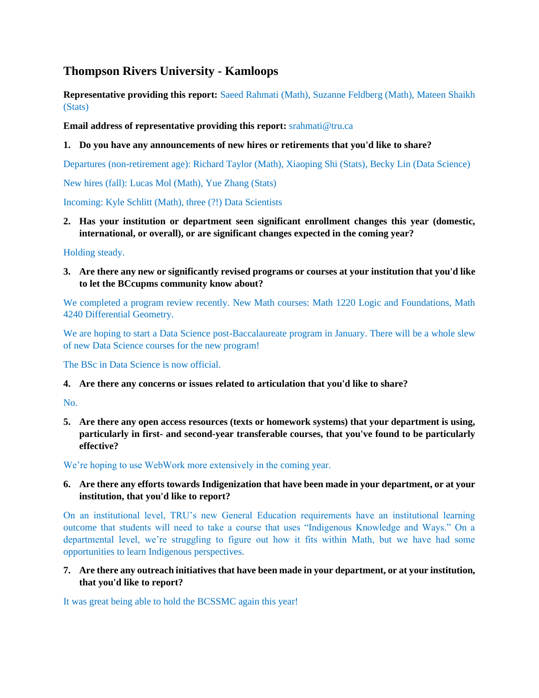# <span id="page-35-0"></span>**Thompson Rivers University - Kamloops**

**Representative providing this report:** Saeed Rahmati (Math), Suzanne Feldberg (Math), Mateen Shaikh (Stats)

**Email address of representative providing this report:** srahmati@tru.ca

## **1. Do you have any announcements of new hires or retirements that you'd like to share?**

Departures (non-retirement age): Richard Taylor (Math), Xiaoping Shi (Stats), Becky Lin (Data Science)

New hires (fall): Lucas Mol (Math), Yue Zhang (Stats)

Incoming: Kyle Schlitt (Math), three (?!) Data Scientists

**2. Has your institution or department seen significant enrollment changes this year (domestic, international, or overall), or are significant changes expected in the coming year?**

Holding steady.

**3. Are there any new or significantly revised programs or courses at your institution that you'd like to let the BCcupms community know about?**

We completed a program review recently. New Math courses: Math 1220 Logic and Foundations, Math 4240 Differential Geometry.

We are hoping to start a Data Science post-Baccalaureate program in January. There will be a whole slew of new Data Science courses for the new program!

The BSc in Data Science is now official.

#### **4. Are there any concerns or issues related to articulation that you'd like to share?**

No.

**5. Are there any open access resources (texts or homework systems) that your department is using, particularly in first- and second-year transferable courses, that you've found to be particularly effective?**

We're hoping to use WebWork more extensively in the coming year.

#### **6. Are there any efforts towards Indigenization that have been made in your department, or at your institution, that you'd like to report?**

On an institutional level, TRU's new General Education requirements have an institutional learning outcome that students will need to take a course that uses "Indigenous Knowledge and Ways." On a departmental level, we're struggling to figure out how it fits within Math, but we have had some opportunities to learn Indigenous perspectives.

**7. Are there any outreach initiatives that have been made in your department, or at your institution, that you'd like to report?**

It was great being able to hold the BCSSMC again this year!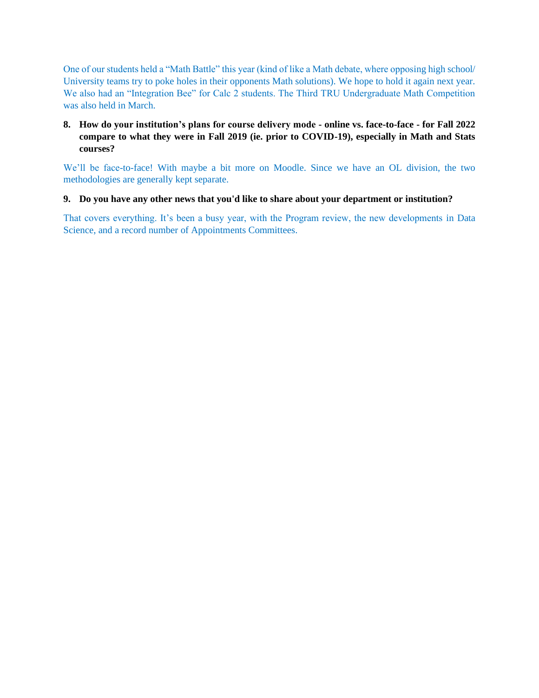One of our students held a "Math Battle" this year (kind of like a Math debate, where opposing high school/ University teams try to poke holes in their opponents Math solutions). We hope to hold it again next year. We also had an "Integration Bee" for Calc 2 students. The Third TRU Undergraduate Math Competition was also held in March.

## **8. How do your institution's plans for course delivery mode - online vs. face-to-face - for Fall 2022 compare to what they were in Fall 2019 (ie. prior to COVID-19), especially in Math and Stats courses?**

We'll be face-to-face! With maybe a bit more on Moodle. Since we have an OL division, the two methodologies are generally kept separate.

## **9. Do you have any other news that you'd like to share about your department or institution?**

That covers everything. It's been a busy year, with the Program review, the new developments in Data Science, and a record number of Appointments Committees.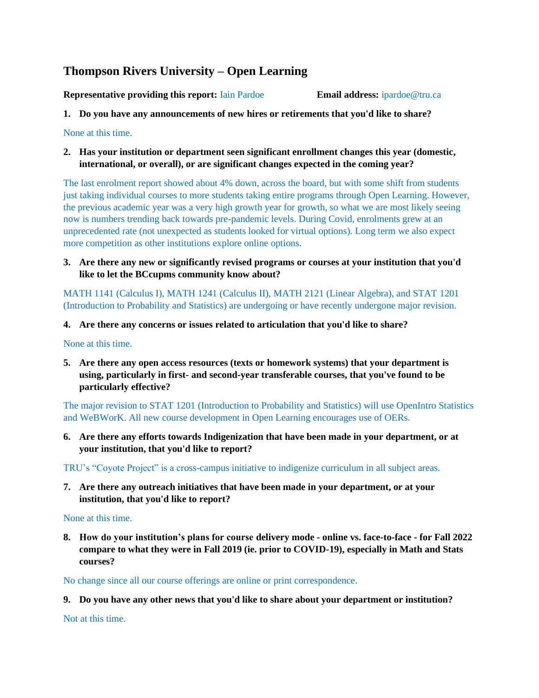# <span id="page-37-0"></span>**Thompson Rivers University – Open Learning**

**Representative providing this report:** Iain Pardoe **Email address:** ipardoe@tru.ca

**1. Do you have any announcements of new hires or retirements that you'd like to share?**

None at this time.

**2. Has your institution or department seen significant enrollment changes this year (domestic, international, or overall), or are significant changes expected in the coming year?**

The last enrolment report showed about 4% down, across the board, but with some shift from students just taking individual courses to more students taking entire programs through Open Learning. However, the previous academic year was a very high growth year for growth, so what we are most likely seeing now is numbers trending back towards pre-pandemic levels. During Covid, enrolments grew at an unprecedented rate (not unexpected as students looked for virtual options). Long term we also expect more competition as other institutions explore online options.

**3. Are there any new or significantly revised programs or courses at your institution that you'd like to let the BCcupms community know about?**

MATH 1141 (Calculus I), MATH 1241 (Calculus II), MATH 2121 (Linear Algebra), and STAT 1201 (Introduction to Probability and Statistics) are undergoing or have recently undergone major revision.

#### **4. Are there any concerns or issues related to articulation that you'd like to share?**

None at this time.

**5. Are there any open access resources (texts or homework systems) that your department is using, particularly in first- and second-year transferable courses, that you've found to be particularly effective?**

The major revision to STAT 1201 (Introduction to Probability and Statistics) will use OpenIntro Statistics and WeBWorK. All new course development in Open Learning encourages use of OERs.

**6. Are there any efforts towards Indigenization that have been made in your department, or at your institution, that you'd like to report?**

TRU's "Coyote Project" is a cross-campus initiative to indigenize curriculum in all subject areas.

**7. Are there any outreach initiatives that have been made in your department, or at your institution, that you'd like to report?**

None at this time.

**8. How do your institution's plans for course delivery mode - online vs. face-to-face - for Fall 2022 compare to what they were in Fall 2019 (ie. prior to COVID-19), especially in Math and Stats courses?**

No change since all our course offerings are online or print correspondence.

**9. Do you have any other news that you'd like to share about your department or institution?**

Not at this time.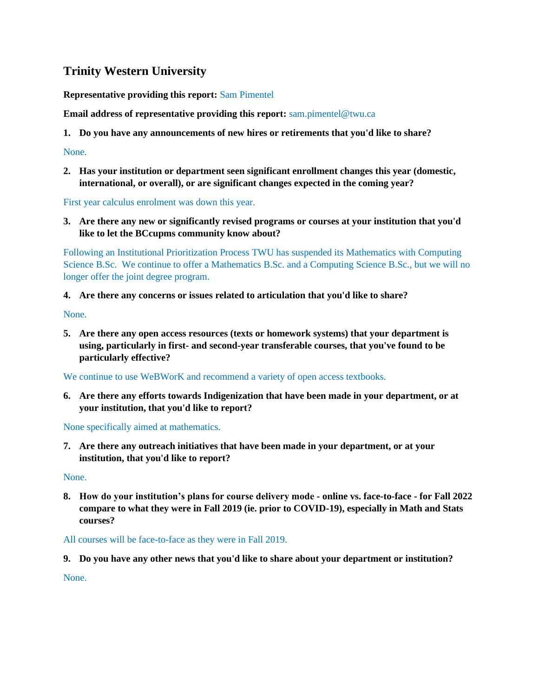# <span id="page-38-0"></span>**Trinity Western University**

**Representative providing this report:** Sam Pimentel

**Email address of representative providing this report:** sam.pimentel@twu.ca

**1. Do you have any announcements of new hires or retirements that you'd like to share?**

None.

**2. Has your institution or department seen significant enrollment changes this year (domestic, international, or overall), or are significant changes expected in the coming year?**

First year calculus enrolment was down this year.

**3. Are there any new or significantly revised programs or courses at your institution that you'd like to let the BCcupms community know about?**

Following an Institutional Prioritization Process TWU has suspended its Mathematics with Computing Science B.Sc. We continue to offer a Mathematics B.Sc. and a Computing Science B.Sc., but we will no longer offer the joint degree program.

**4. Are there any concerns or issues related to articulation that you'd like to share?**

None.

**5. Are there any open access resources (texts or homework systems) that your department is using, particularly in first- and second-year transferable courses, that you've found to be particularly effective?**

We continue to use WeBWorK and recommend a variety of open access textbooks.

**6. Are there any efforts towards Indigenization that have been made in your department, or at your institution, that you'd like to report?**

None specifically aimed at mathematics.

**7. Are there any outreach initiatives that have been made in your department, or at your institution, that you'd like to report?**

None.

**8. How do your institution's plans for course delivery mode - online vs. face-to-face - for Fall 2022 compare to what they were in Fall 2019 (ie. prior to COVID-19), especially in Math and Stats courses?**

All courses will be face-to-face as they were in Fall 2019.

**9. Do you have any other news that you'd like to share about your department or institution?**

None.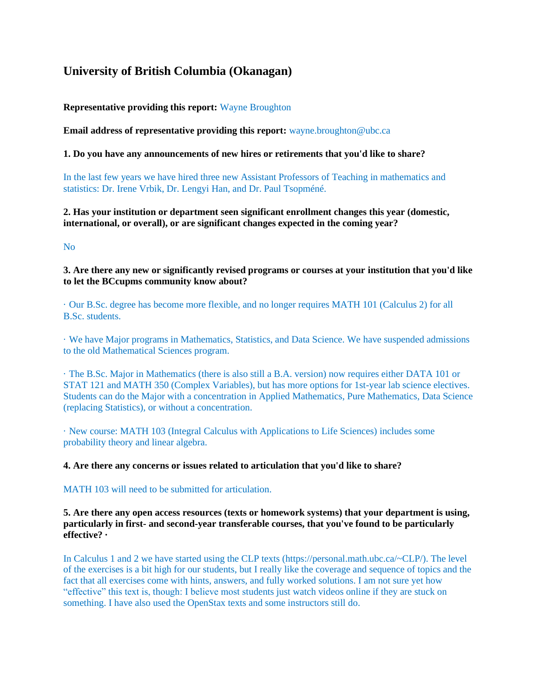# <span id="page-39-0"></span>**University of British Columbia (Okanagan)**

**Representative providing this report:** Wayne Broughton

**Email address of representative providing this report:** wayne.broughton@ubc.ca

**1. Do you have any announcements of new hires or retirements that you'd like to share?**

In the last few years we have hired three new Assistant Professors of Teaching in mathematics and statistics: Dr. Irene Vrbik, Dr. Lengyi Han, and Dr. Paul Tsopméné.

**2. Has your institution or department seen significant enrollment changes this year (domestic, international, or overall), or are significant changes expected in the coming year?** 

No

**3. Are there any new or significantly revised programs or courses at your institution that you'd like to let the BCcupms community know about?**

· Our B.Sc. degree has become more flexible, and no longer requires MATH 101 (Calculus 2) for all B.Sc. students.

· We have Major programs in Mathematics, Statistics, and Data Science. We have suspended admissions to the old Mathematical Sciences program.

· The B.Sc. Major in Mathematics (there is also still a B.A. version) now requires either DATA 101 or STAT 121 and MATH 350 (Complex Variables), but has more options for 1st-year lab science electives. Students can do the Major with a concentration in Applied Mathematics, Pure Mathematics, Data Science (replacing Statistics), or without a concentration.

· New course: MATH 103 (Integral Calculus with Applications to Life Sciences) includes some probability theory and linear algebra.

**4. Are there any concerns or issues related to articulation that you'd like to share?**

MATH 103 will need to be submitted for articulation.

**5. Are there any open access resources (texts or homework systems) that your department is using, particularly in first- and second-year transferable courses, that you've found to be particularly effective? ·** 

In Calculus 1 and 2 we have started using the CLP texts (https://personal.math.ubc.ca/~CLP/). The level of the exercises is a bit high for our students, but I really like the coverage and sequence of topics and the fact that all exercises come with hints, answers, and fully worked solutions. I am not sure yet how "effective" this text is, though: I believe most students just watch videos online if they are stuck on something. I have also used the OpenStax texts and some instructors still do.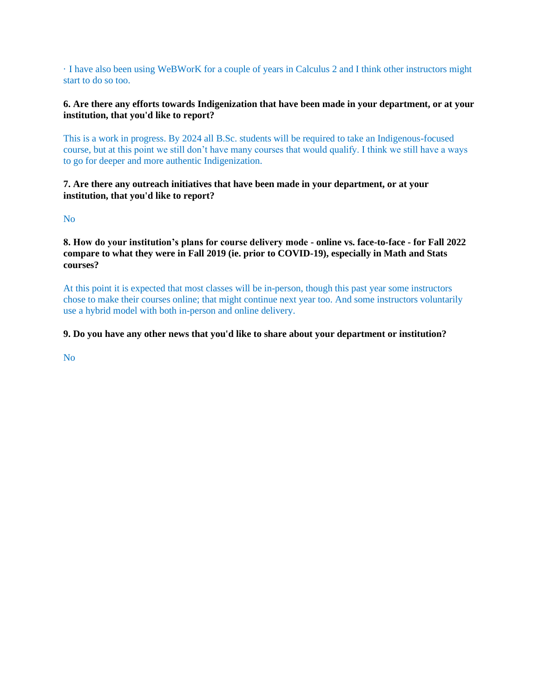· I have also been using WeBWorK for a couple of years in Calculus 2 and I think other instructors might start to do so too.

#### **6. Are there any efforts towards Indigenization that have been made in your department, or at your institution, that you'd like to report?**

This is a work in progress. By 2024 all B.Sc. students will be required to take an Indigenous-focused course, but at this point we still don't have many courses that would qualify. I think we still have a ways to go for deeper and more authentic Indigenization.

#### **7. Are there any outreach initiatives that have been made in your department, or at your institution, that you'd like to report?**

No

**8. How do your institution's plans for course delivery mode - online vs. face-to-face - for Fall 2022 compare to what they were in Fall 2019 (ie. prior to COVID-19), especially in Math and Stats courses?**

At this point it is expected that most classes will be in-person, though this past year some instructors chose to make their courses online; that might continue next year too. And some instructors voluntarily use a hybrid model with both in-person and online delivery.

#### **9. Do you have any other news that you'd like to share about your department or institution?**

No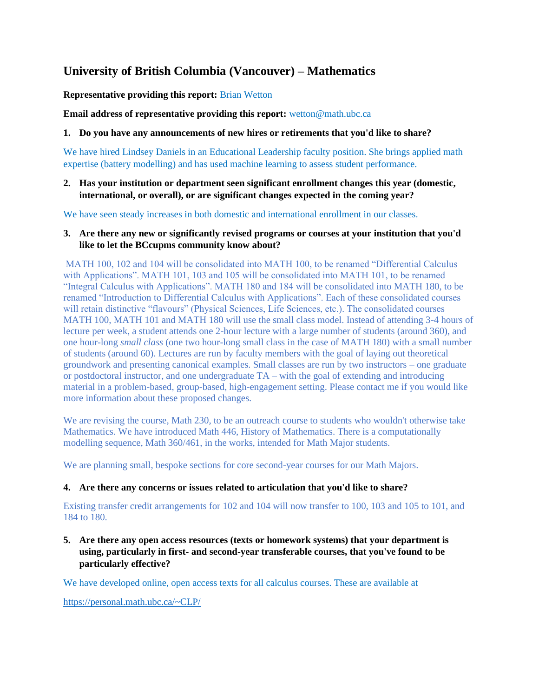# <span id="page-41-0"></span>**University of British Columbia (Vancouver) – Mathematics**

**Representative providing this report:** Brian Wetton

**Email address of representative providing this report:** wetton@math.ubc.ca

#### **1. Do you have any announcements of new hires or retirements that you'd like to share?**

We have hired Lindsey Daniels in an Educational Leadership faculty position. She brings applied math expertise (battery modelling) and has used machine learning to assess student performance.

**2. Has your institution or department seen significant enrollment changes this year (domestic, international, or overall), or are significant changes expected in the coming year?**

We have seen steady increases in both domestic and international enrollment in our classes.

#### **3. Are there any new or significantly revised programs or courses at your institution that you'd like to let the BCcupms community know about?**

MATH 100, 102 and 104 will be consolidated into MATH 100, to be renamed "Differential Calculus with Applications". MATH 101, 103 and 105 will be consolidated into MATH 101, to be renamed "Integral Calculus with Applications". MATH 180 and 184 will be consolidated into MATH 180, to be renamed "Introduction to Differential Calculus with Applications". Each of these consolidated courses will retain distinctive "flavours" (Physical Sciences, Life Sciences, etc.). The consolidated courses MATH 100, MATH 101 and MATH 180 will use the small class model. Instead of attending 3-4 hours of lecture per week, a student attends one 2-hour lecture with a large number of students (around 360), and one hour-long *small class* (one two hour-long small class in the case of MATH 180) with a small number of students (around 60). Lectures are run by faculty members with the goal of laying out theoretical groundwork and presenting canonical examples. Small classes are run by two instructors – one graduate or postdoctoral instructor, and one undergraduate TA – with the goal of extending and introducing material in a problem-based, group-based, high-engagement setting. Please contact me if you would like more information about these proposed changes.

We are revising the course, Math 230, to be an outreach course to students who wouldn't otherwise take Mathematics. We have introduced Math 446, History of Mathematics. There is a computationally modelling sequence, Math 360/461, in the works, intended for Math Major students.

We are planning small, bespoke sections for core second-year courses for our Math Majors.

#### **4. Are there any concerns or issues related to articulation that you'd like to share?**

Existing transfer credit arrangements for 102 and 104 will now transfer to 100, 103 and 105 to 101, and 184 to 180.

**5. Are there any open access resources (texts or homework systems) that your department is using, particularly in first- and second-year transferable courses, that you've found to be particularly effective?**

We have developed online, open access texts for all calculus courses. These are available at

<https://personal.math.ubc.ca/~CLP/>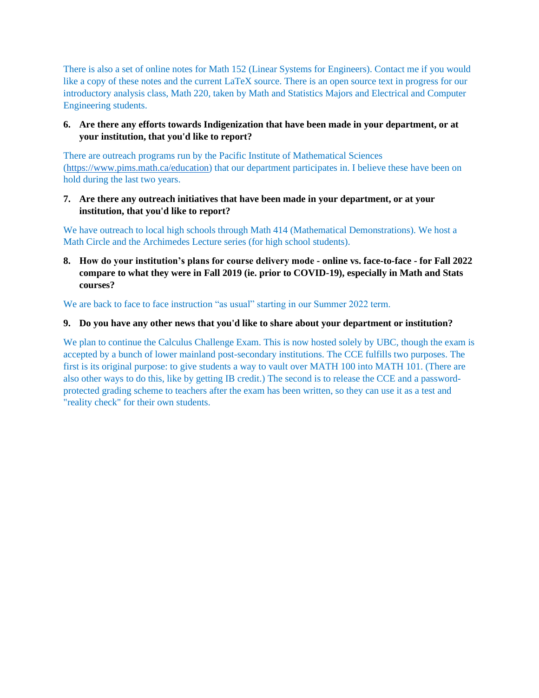There is also a set of online notes for Math 152 (Linear Systems for Engineers). Contact me if you would like a copy of these notes and the current LaTeX source. There is an open source text in progress for our introductory analysis class, Math 220, taken by Math and Statistics Majors and Electrical and Computer Engineering students.

## **6. Are there any efforts towards Indigenization that have been made in your department, or at your institution, that you'd like to report?**

There are outreach programs run by the Pacific Institute of Mathematical Sciences [\(https://www.pims.math.ca/education\)](https://www.pims.math.ca/education) that our department participates in. I believe these have been on hold during the last two years.

#### **7. Are there any outreach initiatives that have been made in your department, or at your institution, that you'd like to report?**

We have outreach to local high schools through Math 414 (Mathematical Demonstrations). We host a Math Circle and the Archimedes Lecture series (for high school students).

**8. How do your institution's plans for course delivery mode - online vs. face-to-face - for Fall 2022 compare to what they were in Fall 2019 (ie. prior to COVID-19), especially in Math and Stats courses?**

We are back to face to face instruction "as usual" starting in our Summer 2022 term.

#### **9. Do you have any other news that you'd like to share about your department or institution?**

We plan to continue the Calculus Challenge Exam. This is now hosted solely by UBC, though the exam is accepted by a bunch of lower mainland post-secondary institutions. The CCE fulfills two purposes. The first is its original purpose: to give students a way to vault over MATH 100 into MATH 101. (There are also other ways to do this, like by getting IB credit.) The second is to release the CCE and a passwordprotected grading scheme to teachers after the exam has been written, so they can use it as a test and "reality check" for their own students.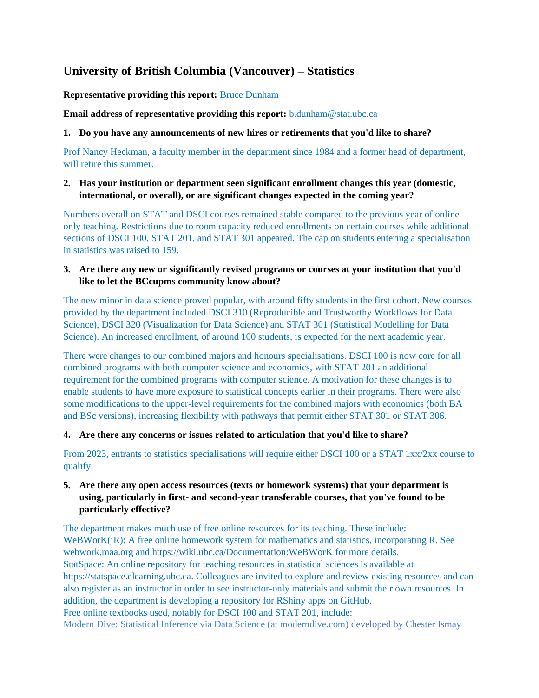# <span id="page-43-0"></span>**University of British Columbia (Vancouver) – Statistics**

**Representative providing this report:** Bruce Dunham

**Email address of representative providing this report:** b.dunham@stat.ubc.ca

#### **1. Do you have any announcements of new hires or retirements that you'd like to share?**

Prof Nancy Heckman, a faculty member in the department since 1984 and a former head of department, will retire this summer.

## **2. Has your institution or department seen significant enrollment changes this year (domestic, international, or overall), or are significant changes expected in the coming year?**

Numbers overall on STAT and DSCI courses remained stable compared to the previous year of onlineonly teaching. Restrictions due to room capacity reduced enrollments on certain courses while additional sections of DSCI 100, STAT 201, and STAT 301 appeared. The cap on students entering a specialisation in statistics was raised to 159.

## **3. Are there any new or significantly revised programs or courses at your institution that you'd like to let the BCcupms community know about?**

The new minor in data science proved popular, with around fifty students in the first cohort. New courses provided by the department included DSCI 310 (Reproducible and Trustworthy Workflows for Data Science), DSCI 320 (Visualization for Data Science) and STAT 301 (Statistical Modelling for Data Science). An increased enrollment, of around 100 students, is expected for the next academic year.

There were changes to our combined majors and honours specialisations. DSCI 100 is now core for all combined programs with both computer science and economics, with STAT 201 an additional requirement for the combined programs with computer science. A motivation for these changes is to enable students to have more exposure to statistical concepts earlier in their programs. There were also some modifications to the upper-level requirements for the combined majors with economics (both BA and BSc versions), increasing flexibility with pathways that permit either STAT 301 or STAT 306.

## **4. Are there any concerns or issues related to articulation that you'd like to share?**

From 2023, entrants to statistics specialisations will require either DSCI 100 or a STAT 1xx/2xx course to qualify.

## **5. Are there any open access resources (texts or homework systems) that your department is using, particularly in first- and second-year transferable courses, that you've found to be particularly effective?**

The department makes much use of free online resources for its teaching. These include: WeBWorK(iR): A free online homework system for mathematics and statistics, incorporating R. See webwork.maa.org and<https://wiki.ubc.ca/Documentation:WeBWorK> for more details. StatSpace: An online repository for teaching resources in statistical sciences is available at [https://statspace.elearning.ubc.ca.](https://statspace.elearning.ubc.ca/) Colleagues are invited to explore and review existing resources and can also register as an instructor in order to see instructor-only materials and submit their own resources. In addition, the department is developing a repository for RShiny apps on GitHub. Free online textbooks used, notably for DSCI 100 and STAT 201, include: Modern Dive: Statistical Inference via Data Science (at moderndive.com) developed by Chester Ismay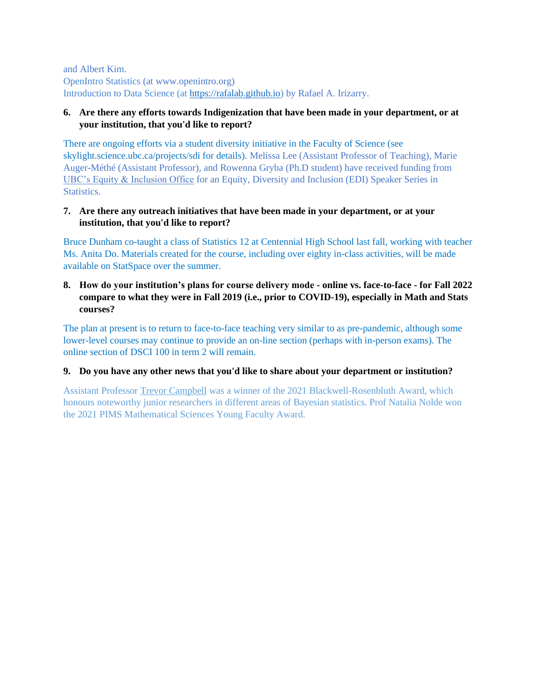and Albert Kim. OpenIntro Statistics (at www.openintro.org) Introduction to Data Science (at [https://rafalab.github.io\)](https://rafalab.github.io/) by Rafael A. Irizarry.

#### **6. Are there any efforts towards Indigenization that have been made in your department, or at your institution, that you'd like to report?**

There are ongoing efforts via a student diversity initiative in the Faculty of Science (see skylight.science.ubc.ca/projects/sdi for details). Melissa Lee (Assistant Professor of Teaching), Marie Auger-Méthé (Assistant Professor), and Rowenna Gryba (Ph.D student) have received funding from [UBC's Equity & Inclusion Office](https://equity.ubc.ca/) for an Equity, Diversity and Inclusion (EDI) Speaker Series in Statistics.

#### **7. Are there any outreach initiatives that have been made in your department, or at your institution, that you'd like to report?**

Bruce Dunham co-taught a class of Statistics 12 at Centennial High School last fall, working with teacher Ms. Anita Do. Materials created for the course, including over eighty in-class activities, will be made available on StatSpace over the summer.

#### **8. How do your institution's plans for course delivery mode - online vs. face-to-face - for Fall 2022 compare to what they were in Fall 2019 (i.e., prior to COVID-19), especially in Math and Stats courses?**

The plan at present is to return to face-to-face teaching very similar to as pre-pandemic, although some lower-level courses may continue to provide an on-line section (perhaps with in-person exams). The online section of DSCI 100 in term 2 will remain.

#### **9. Do you have any other news that you'd like to share about your department or institution?**

Assistant Professor [Trevor Campbell](https://trevorcampbell.me/) was a winner of the 2021 Blackwell-Rosenbluth Award, which honours noteworthy junior researchers in different areas of Bayesian statistics. Prof Natalia Nolde won the 2021 PIMS Mathematical Sciences Young Faculty Award.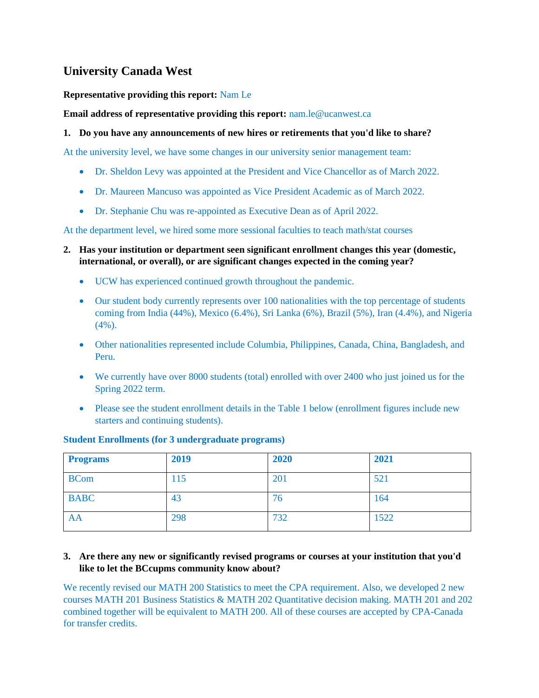# <span id="page-45-0"></span>**University Canada West**

## **Representative providing this report:** Nam Le

**Email address of representative providing this report:** nam.le@ucanwest.ca

## **1. Do you have any announcements of new hires or retirements that you'd like to share?**

At the university level, we have some changes in our university senior management team:

- Dr. Sheldon Levy was appointed at the President and Vice Chancellor as of March 2022.
- Dr. Maureen Mancuso was appointed as Vice President Academic as of March 2022.
- Dr. Stephanie Chu was re-appointed as Executive Dean as of April 2022.

At the department level, we hired some more sessional faculties to teach math/stat courses

- **2. Has your institution or department seen significant enrollment changes this year (domestic, international, or overall), or are significant changes expected in the coming year?**
	- UCW has experienced continued growth throughout the pandemic.
	- Our student body currently represents over 100 nationalities with the top percentage of students coming from India (44%), Mexico (6.4%), Sri Lanka (6%), Brazil (5%), Iran (4.4%), and Nigeria (4%).
	- Other nationalities represented include Columbia, Philippines, Canada, China, Bangladesh, and Peru.
	- We currently have over 8000 students (total) enrolled with over 2400 who just joined us for the Spring 2022 term.
	- Please see the student enrollment details in the Table 1 below (enrollment figures include new starters and continuing students).

#### **Student Enrollments (for 3 undergraduate programs)**

| <b>Programs</b> | 2019 | 2020 | 2021 |
|-----------------|------|------|------|
| <b>BCom</b>     | 115  | 201  | 521  |
| <b>BABC</b>     | 43   | 76   | 164  |
| AA              | 298  | 732  | 1522 |

#### **3. Are there any new or significantly revised programs or courses at your institution that you'd like to let the BCcupms community know about?**

We recently revised our MATH 200 Statistics to meet the CPA requirement. Also, we developed 2 new courses MATH 201 Business Statistics & MATH 202 Quantitative decision making. MATH 201 and 202 combined together will be equivalent to MATH 200. All of these courses are accepted by CPA-Canada for transfer credits.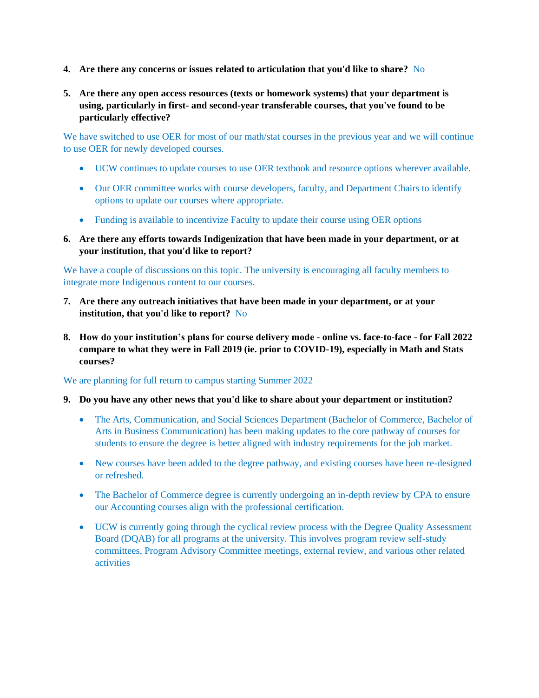- **4. Are there any concerns or issues related to articulation that you'd like to share?** No
- **5. Are there any open access resources (texts or homework systems) that your department is using, particularly in first- and second-year transferable courses, that you've found to be particularly effective?**

We have switched to use OER for most of our math/stat courses in the previous year and we will continue to use OER for newly developed courses.

- UCW continues to update courses to use OER textbook and resource options wherever available.
- Our OER committee works with course developers, faculty, and Department Chairs to identify options to update our courses where appropriate.
- Funding is available to incentivize Faculty to update their course using OER options
- **6. Are there any efforts towards Indigenization that have been made in your department, or at your institution, that you'd like to report?**

We have a couple of discussions on this topic. The university is encouraging all faculty members to integrate more Indigenous content to our courses.

- **7. Are there any outreach initiatives that have been made in your department, or at your institution, that you'd like to report?** No
- **8. How do your institution's plans for course delivery mode - online vs. face-to-face - for Fall 2022 compare to what they were in Fall 2019 (ie. prior to COVID-19), especially in Math and Stats courses?**

We are planning for full return to campus starting Summer 2022

- **9. Do you have any other news that you'd like to share about your department or institution?**
	- The Arts, Communication, and Social Sciences Department (Bachelor of Commerce, Bachelor of Arts in Business Communication) has been making updates to the core pathway of courses for students to ensure the degree is better aligned with industry requirements for the job market.
	- New courses have been added to the degree pathway, and existing courses have been re-designed or refreshed.
	- The Bachelor of Commerce degree is currently undergoing an in-depth review by CPA to ensure our Accounting courses align with the professional certification.
	- UCW is currently going through the cyclical review process with the Degree Quality Assessment Board (DQAB) for all programs at the university. This involves program review self-study committees, Program Advisory Committee meetings, external review, and various other related activities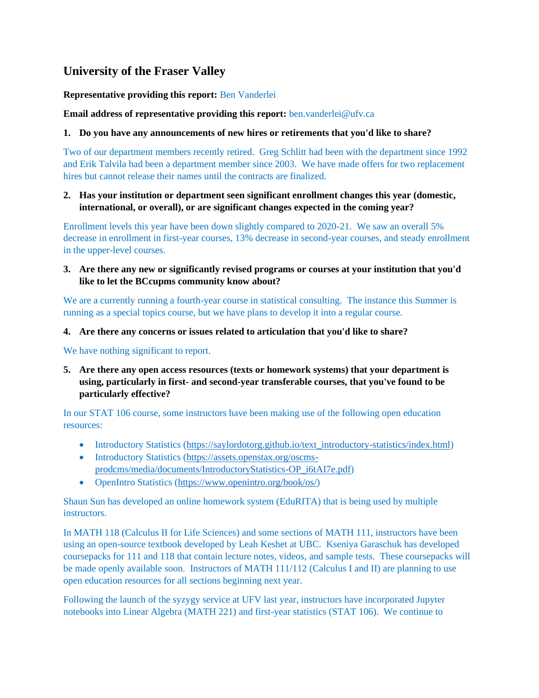# <span id="page-47-0"></span>**University of the Fraser Valley**

## **Representative providing this report:** Ben Vanderlei

**Email address of representative providing this report:** ben.vanderlei@ufv.ca

## **1. Do you have any announcements of new hires or retirements that you'd like to share?**

Two of our department members recently retired. Greg Schlitt had been with the department since 1992 and Erik Talvila had been a department member since 2003. We have made offers for two replacement hires but cannot release their names until the contracts are finalized.

#### **2. Has your institution or department seen significant enrollment changes this year (domestic, international, or overall), or are significant changes expected in the coming year?**

Enrollment levels this year have been down slightly compared to 2020-21. We saw an overall 5% decrease in enrollment in first-year courses, 13% decrease in second-year courses, and steady enrollment in the upper-level courses.

**3. Are there any new or significantly revised programs or courses at your institution that you'd like to let the BCcupms community know about?**

We are a currently running a fourth-year course in statistical consulting. The instance this Summer is running as a special topics course, but we have plans to develop it into a regular course.

**4. Are there any concerns or issues related to articulation that you'd like to share?**

We have nothing significant to report.

**5. Are there any open access resources (texts or homework systems) that your department is using, particularly in first- and second-year transferable courses, that you've found to be particularly effective?**

In our STAT 106 course, some instructors have been making use of the following open education resources:

- Introductory Statistics [\(https://saylordotorg.github.io/text\\_introductory-statistics/index.html\)](https://saylordotorg.github.io/text_introductory-statistics/index.html)
- Introductory Statistics [\(https://assets.openstax.org/oscms](https://assets.openstax.org/oscms-prodcms/media/documents/IntroductoryStatistics-OP_i6tAI7e.pdf)[prodcms/media/documents/IntroductoryStatistics-OP\\_i6tAI7e.pdf\)](https://assets.openstax.org/oscms-prodcms/media/documents/IntroductoryStatistics-OP_i6tAI7e.pdf)
- OpenIntro Statistics [\(https://www.openintro.org/book/os/\)](https://www.openintro.org/book/os/)

Shaun Sun has developed an online homework system (EduRITA) that is being used by multiple **instructors** 

In MATH 118 (Calculus II for Life Sciences) and some sections of MATH 111, instructors have been using an open-source textbook developed by Leah Keshet at UBC. Kseniya Garaschuk has developed coursepacks for 111 and 118 that contain lecture notes, videos, and sample tests. These coursepacks will be made openly available soon. Instructors of MATH 111/112 (Calculus I and II) are planning to use open education resources for all sections beginning next year.

Following the launch of the syzygy service at UFV last year, instructors have incorporated Jupyter notebooks into Linear Algebra (MATH 221) and first-year statistics (STAT 106). We continue to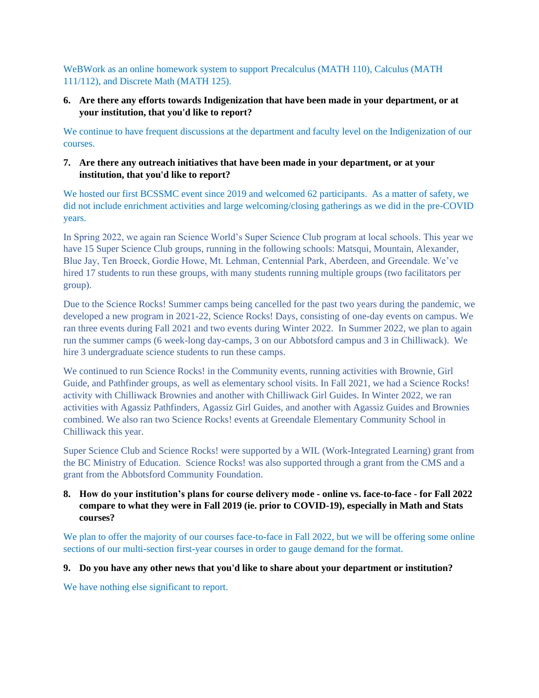WeBWork as an online homework system to support Precalculus (MATH 110), Calculus (MATH 111/112), and Discrete Math (MATH 125).

## **6. Are there any efforts towards Indigenization that have been made in your department, or at your institution, that you'd like to report?**

We continue to have frequent discussions at the department and faculty level on the Indigenization of our courses.

## **7. Are there any outreach initiatives that have been made in your department, or at your institution, that you'd like to report?**

We hosted our first BCSSMC event since 2019 and welcomed 62 participants. As a matter of safety, we did not include enrichment activities and large welcoming/closing gatherings as we did in the pre-COVID years.

In Spring 2022, we again ran Science World's Super Science Club program at local schools. This year we have 15 Super Science Club groups, running in the following schools: Matsqui, Mountain, Alexander, Blue Jay, Ten Broeck, Gordie Howe, Mt. Lehman, Centennial Park, Aberdeen, and Greendale. We've hired 17 students to run these groups, with many students running multiple groups (two facilitators per group).

Due to the Science Rocks! Summer camps being cancelled for the past two years during the pandemic, we developed a new program in 2021-22, Science Rocks! Days, consisting of one-day events on campus. We ran three events during Fall 2021 and two events during Winter 2022. In Summer 2022, we plan to again run the summer camps (6 week-long day-camps, 3 on our Abbotsford campus and 3 in Chilliwack). We hire 3 undergraduate science students to run these camps.

We continued to run Science Rocks! in the Community events, running activities with Brownie, Girl Guide, and Pathfinder groups, as well as elementary school visits. In Fall 2021, we had a Science Rocks! activity with Chilliwack Brownies and another with Chilliwack Girl Guides. In Winter 2022, we ran activities with Agassiz Pathfinders, Agassiz Girl Guides, and another with Agassiz Guides and Brownies combined. We also ran two Science Rocks! events at Greendale Elementary Community School in Chilliwack this year.

Super Science Club and Science Rocks! were supported by a WIL (Work-Integrated Learning) grant from the BC Ministry of Education. Science Rocks! was also supported through a grant from the CMS and a grant from the Abbotsford Community Foundation.

## **8. How do your institution's plans for course delivery mode - online vs. face-to-face - for Fall 2022 compare to what they were in Fall 2019 (ie. prior to COVID-19), especially in Math and Stats courses?**

We plan to offer the majority of our courses face-to-face in Fall 2022, but we will be offering some online sections of our multi-section first-year courses in order to gauge demand for the format.

## **9. Do you have any other news that you'd like to share about your department or institution?**

We have nothing else significant to report.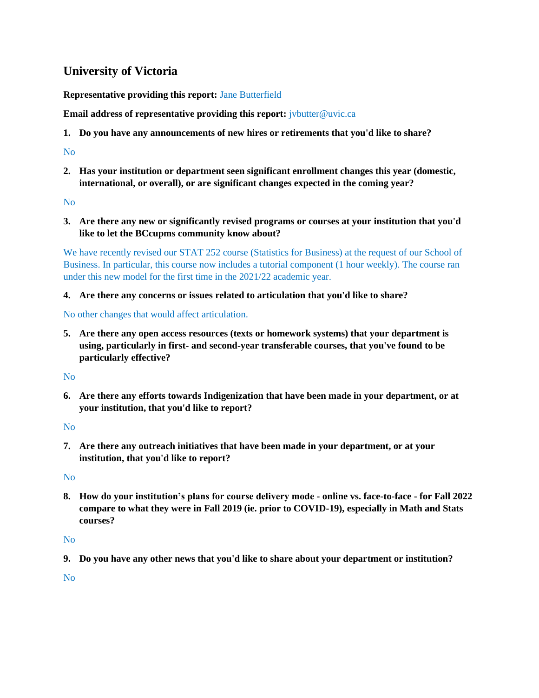# <span id="page-49-0"></span>**University of Victoria**

**Representative providing this report:** Jane Butterfield

**Email address of representative providing this report:** *jvbutter@uvic.ca* 

**1. Do you have any announcements of new hires or retirements that you'd like to share?**

## No

**2. Has your institution or department seen significant enrollment changes this year (domestic, international, or overall), or are significant changes expected in the coming year?**

No

**3. Are there any new or significantly revised programs or courses at your institution that you'd like to let the BCcupms community know about?**

We have recently revised our STAT 252 course (Statistics for Business) at the request of our School of Business. In particular, this course now includes a tutorial component (1 hour weekly). The course ran under this new model for the first time in the 2021/22 academic year.

**4. Are there any concerns or issues related to articulation that you'd like to share?**

No other changes that would affect articulation.

**5. Are there any open access resources (texts or homework systems) that your department is using, particularly in first- and second-year transferable courses, that you've found to be particularly effective?**

No

**6. Are there any efforts towards Indigenization that have been made in your department, or at your institution, that you'd like to report?**

No

**7. Are there any outreach initiatives that have been made in your department, or at your institution, that you'd like to report?**

No

**8. How do your institution's plans for course delivery mode - online vs. face-to-face - for Fall 2022 compare to what they were in Fall 2019 (ie. prior to COVID-19), especially in Math and Stats courses?**

No

**9. Do you have any other news that you'd like to share about your department or institution?**

No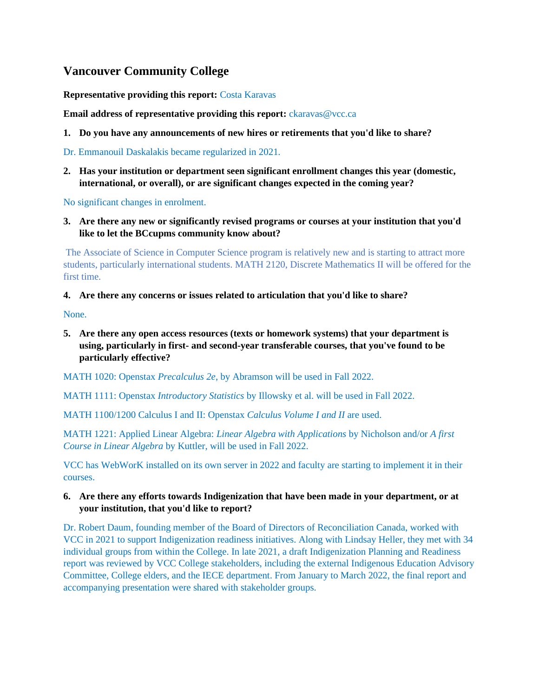# <span id="page-50-0"></span>**Vancouver Community College**

**Representative providing this report:** Costa Karavas

**Email address of representative providing this report:** *ckaravas@vcc.ca* 

**1. Do you have any announcements of new hires or retirements that you'd like to share?**

Dr. Emmanouil Daskalakis became regularized in 2021.

**2. Has your institution or department seen significant enrollment changes this year (domestic, international, or overall), or are significant changes expected in the coming year?**

No significant changes in enrolment.

**3. Are there any new or significantly revised programs or courses at your institution that you'd like to let the BCcupms community know about?**

The Associate of Science in Computer Science program is relatively new and is starting to attract more students, particularly international students. MATH 2120, Discrete Mathematics II will be offered for the first time.

#### **4. Are there any concerns or issues related to articulation that you'd like to share?**

None.

**5. Are there any open access resources (texts or homework systems) that your department is using, particularly in first- and second-year transferable courses, that you've found to be particularly effective?**

MATH 1020: Openstax *Precalculus 2e*, by Abramson will be used in Fall 2022.

MATH 1111: Openstax *Introductory Statistics* by Illowsky et al. will be used in Fall 2022.

MATH 1100/1200 Calculus I and II: Openstax *Calculus Volume I and II* are used.

MATH 1221: Applied Linear Algebra: *Linear Algebra with Applications* by Nicholson and/or *A first Course in Linear Algebra* by Kuttler, will be used in Fall 2022.

VCC has WebWorK installed on its own server in 2022 and faculty are starting to implement it in their courses.

#### **6. Are there any efforts towards Indigenization that have been made in your department, or at your institution, that you'd like to report?**

Dr. Robert Daum, founding member of the Board of Directors of Reconciliation Canada, worked with VCC in 2021 to support Indigenization readiness initiatives. Along with Lindsay Heller, they met with 34 individual groups from within the College. In late 2021, a draft Indigenization Planning and Readiness report was reviewed by VCC College stakeholders, including the external Indigenous Education Advisory Committee, College elders, and the IECE department. From January to March 2022, the final report and accompanying presentation were shared with stakeholder groups.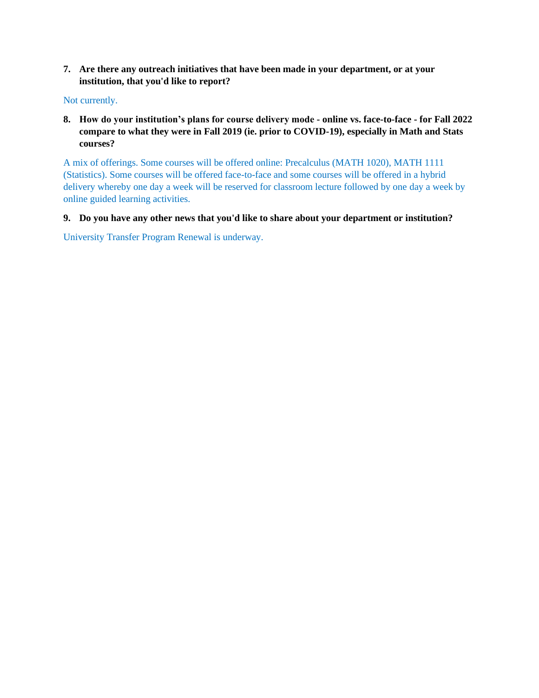**7. Are there any outreach initiatives that have been made in your department, or at your institution, that you'd like to report?**

#### Not currently.

**8. How do your institution's plans for course delivery mode - online vs. face-to-face - for Fall 2022 compare to what they were in Fall 2019 (ie. prior to COVID-19), especially in Math and Stats courses?**

A mix of offerings. Some courses will be offered online: Precalculus (MATH 1020), MATH 1111 (Statistics). Some courses will be offered face-to-face and some courses will be offered in a hybrid delivery whereby one day a week will be reserved for classroom lecture followed by one day a week by online guided learning activities.

#### **9. Do you have any other news that you'd like to share about your department or institution?**

University Transfer Program Renewal is underway.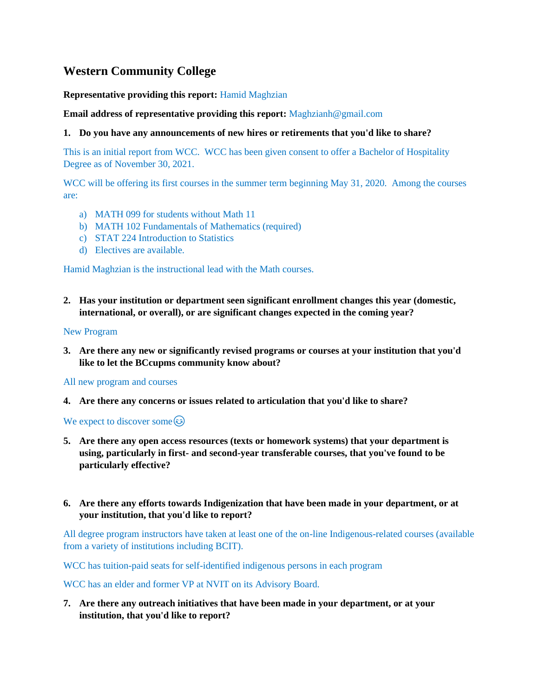# <span id="page-52-0"></span>**Western Community College**

#### **Representative providing this report:** Hamid Maghzian

#### **Email address of representative providing this report:** Maghzianh@gmail.com

#### **1. Do you have any announcements of new hires or retirements that you'd like to share?**

This is an initial report from WCC. WCC has been given consent to offer a Bachelor of Hospitality Degree as of November 30, 2021.

WCC will be offering its first courses in the summer term beginning May 31, 2020. Among the courses are:

- a) MATH 099 for students without Math 11
- b) MATH 102 Fundamentals of Mathematics (required)
- c) STAT 224 Introduction to Statistics
- d) Electives are available.

Hamid Maghzian is the instructional lead with the Math courses.

**2. Has your institution or department seen significant enrollment changes this year (domestic, international, or overall), or are significant changes expected in the coming year?**

#### New Program

**3. Are there any new or significantly revised programs or courses at your institution that you'd like to let the BCcupms community know about?**

All new program and courses

**4. Are there any concerns or issues related to articulation that you'd like to share?**

We expect to discover some  $\odot$ 

- **5. Are there any open access resources (texts or homework systems) that your department is using, particularly in first- and second-year transferable courses, that you've found to be particularly effective?**
- **6. Are there any efforts towards Indigenization that have been made in your department, or at your institution, that you'd like to report?**

All degree program instructors have taken at least one of the on-line Indigenous-related courses (available from a variety of institutions including BCIT).

WCC has tuition-paid seats for self-identified indigenous persons in each program

WCC has an elder and former VP at NVIT on its Advisory Board.

**7. Are there any outreach initiatives that have been made in your department, or at your institution, that you'd like to report?**